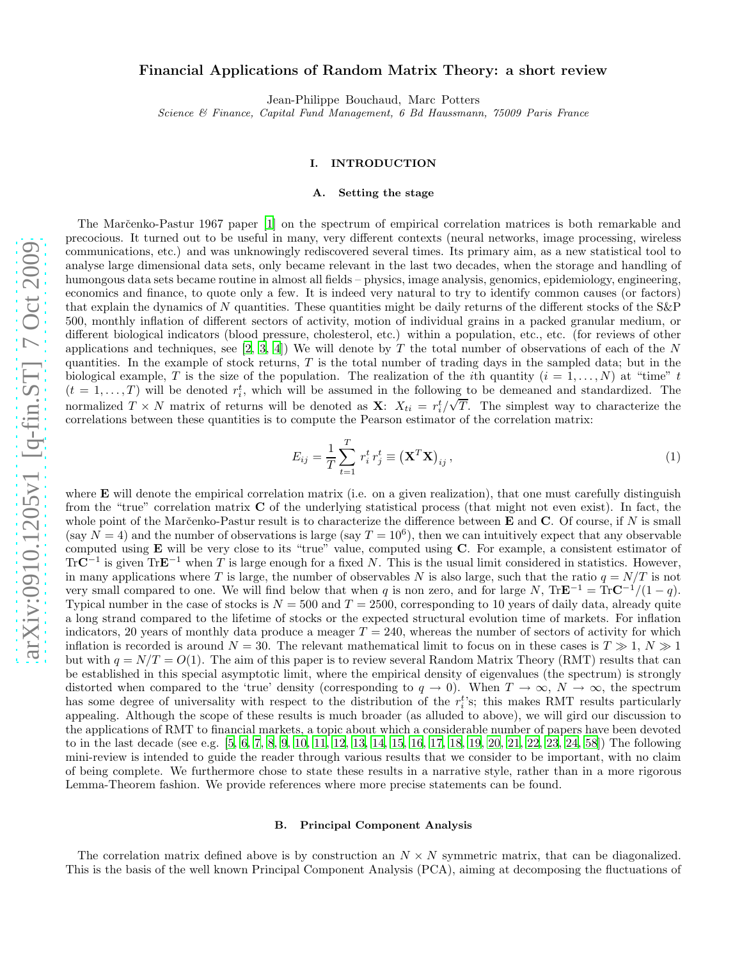# Financial Applications of Random Matrix Theory: a short review

Jean-Philippe Bouchaud, Marc Potters

*Science & Finance, Capital Fund Management, 6 Bd Haussmann, 75009 Paris France*

# I. INTRODUCTION

## A. Setting the stage

The Marc̆enko-Pastur 1967 paper [\[1](#page-21-0)] on the spectrum of empirical correlation matrices is both remarkable and precocious. It turned out to be useful in many, very different contexts (neural networks, image processing, wireless communications, etc.) and was unknowingly rediscovered several times. Its primary aim, as a new statistical tool to analyse large dimensional data sets, only became relevant in the last two decades, when the storage and handling of humongous data sets became routine in almost all fields – physics, image analysis, genomics, epidemiology, engineering, economics and finance, to quote only a few. It is indeed very natural to try to identify common causes (or factors) that explain the dynamics of N quantities. These quantities might be daily returns of the different stocks of the  $S\&P$ 500, monthly inflation of different sectors of activity, motion of individual grains in a packed granular medium, or different biological indicators (blood pressure, cholesterol, etc.) within a population, etc., etc. (for reviews of other applications and techniques, see  $[2, 3, 4]$  $[2, 3, 4]$  $[2, 3, 4]$  $[2, 3, 4]$  $[2, 3, 4]$ ) We will denote by T the total number of observations of each of the N quantities. In the example of stock returns,  $T$  is the total number of trading days in the sampled data; but in the biological example, T is the size of the population. The realization of the *i*th quantity  $(i = 1, ..., N)$  at "time" t  $(t = 1, \ldots, T)$  will be denoted  $r_i^t$ , which will be assumed in the following to be demeaned and standardized. The normalized  $T \times N$  matrix of returns will be denoted as **X**:  $X_{ti} = r_i^t / \sqrt{T}$ . The simplest way to characterize the correlations between these quantities is to compute the Pearson estimator of the correlation matrix:

$$
E_{ij} = \frac{1}{T} \sum_{t=1}^{T} r_i^t r_j^t \equiv \left(\mathbf{X}^T \mathbf{X}\right)_{ij},\tag{1}
$$

where  $E$  will denote the empirical correlation matrix (i.e. on a given realization), that one must carefully distinguish from the "true" correlation matrix C of the underlying statistical process (that might not even exist). In fact, the whole point of the Marčenko-Pastur result is to characterize the difference between  $E$  and  $C$ . Of course, if N is small (say  $N = 4$ ) and the number of observations is large (say  $T = 10^6$ ), then we can intuitively expect that any observable computed using E will be very close to its "true" value, computed using C. For example, a consistent estimator of TrC<sup>−1</sup> is given TrE<sup>−1</sup> when T is large enough for a fixed N. This is the usual limit considered in statistics. However, in many applications where T is large, the number of observables N is also large, such that the ratio  $q = N/T$  is not very small compared to one. We will find below that when q is non zero, and for large N, Tr $\mathbf{E}^{-1} = \text{Tr} \mathbf{C}^{-1}/(1-q)$ . Typical number in the case of stocks is  $N = 500$  and  $T = 2500$ , corresponding to 10 years of daily data, already quite a long strand compared to the lifetime of stocks or the expected structural evolution time of markets. For inflation indicators, 20 years of monthly data produce a meager  $T = 240$ , whereas the number of sectors of activity for which inflation is recorded is around  $N = 30$ . The relevant mathematical limit to focus on in these cases is  $T \gg 1$ ,  $N \gg 1$ but with  $q = N/T = O(1)$ . The aim of this paper is to review several Random Matrix Theory (RMT) results that can be established in this special asymptotic limit, where the empirical density of eigenvalues (the spectrum) is strongly distorted when compared to the 'true' density (corresponding to  $q \to 0$ ). When  $T \to \infty$ ,  $N \to \infty$ , the spectrum has some degree of universality with respect to the distribution of the  $r_i^t$ 's; this makes RMT results particularly appealing. Although the scope of these results is much broader (as alluded to above), we will gird our discussion to the applications of RMT to financial markets, a topic about which a considerable number of papers have been devoted to in the last decade (see e.g. [\[5](#page-21-4), [6](#page-21-5), [7](#page-21-6), [8](#page-21-7), [9](#page-21-8), [10](#page-21-9), [11](#page-21-10), [12](#page-21-11), [13](#page-21-12), [14](#page-21-13), [15](#page-21-14), [16](#page-21-15), [17](#page-21-16), [18](#page-21-17), [19](#page-21-18), [20](#page-21-19), [21](#page-21-20), [22](#page-21-21), [23](#page-21-22), [24](#page-21-23), [58](#page-22-0)]) The following mini-review is intended to guide the reader through various results that we consider to be important, with no claim of being complete. We furthermore chose to state these results in a narrative style, rather than in a more rigorous Lemma-Theorem fashion. We provide references where more precise statements can be found.

## B. Principal Component Analysis

The correlation matrix defined above is by construction an  $N \times N$  symmetric matrix, that can be diagonalized. This is the basis of the well known Principal Component Analysis (PCA), aiming at decomposing the fluctuations of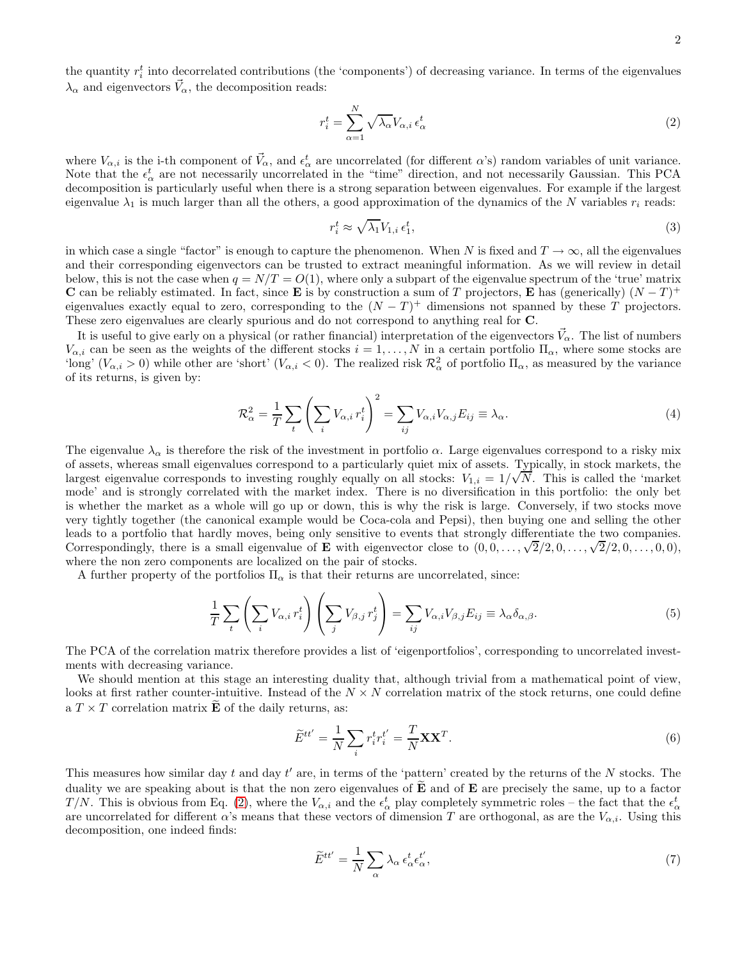<span id="page-1-0"></span>
$$
r_i^t = \sum_{\alpha=1}^N \sqrt{\lambda_\alpha} V_{\alpha,i} \,\epsilon_\alpha^t \tag{2}
$$

where  $V_{\alpha,i}$  is the i-th component of  $\vec{V}_{\alpha}$ , and  $\epsilon_{\alpha}^{t}$  are uncorrelated (for different  $\alpha$ 's) random variables of unit variance. Note that the  $\epsilon_{\alpha}^{t}$  are not necessarily uncorrelated in the "time" direction, and not necessarily Gaussian. This PCA decomposition is particularly useful when there is a strong separation between eigenvalues. For example if the largest eigenvalue  $\lambda_1$  is much larger than all the others, a good approximation of the dynamics of the N variables  $r_i$  reads:

$$
r_i^t \approx \sqrt{\lambda_1} V_{1,i} \epsilon_1^t,\tag{3}
$$

in which case a single "factor" is enough to capture the phenomenon. When N is fixed and  $T \to \infty$ , all the eigenvalues and their corresponding eigenvectors can be trusted to extract meaningful information. As we will review in detail below, this is not the case when  $q = N/T = O(1)$ , where only a subpart of the eigenvalue spectrum of the 'true' matrix **C** can be reliably estimated. In fact, since **E** is by construction a sum of T projectors, **E** has (generically)  $(N - T)^+$ eigenvalues exactly equal to zero, corresponding to the  $(N - T)^+$  dimensions not spanned by these T projectors. These zero eigenvalues are clearly spurious and do not correspond to anything real for C.

It is useful to give early on a physical (or rather financial) interpretation of the eigenvectors  $\vec{V}_{\alpha}$ . The list of numbers  $V_{\alpha,i}$  can be seen as the weights of the different stocks  $i = 1, \ldots, N$  in a certain portfolio  $\Pi_{\alpha}$ , where some stocks are 'long'  $(V_{\alpha,i} > 0)$  while other are 'short'  $(V_{\alpha,i} < 0)$ . The realized risk  $\mathcal{R}^2_{\alpha}$  of portfolio  $\Pi_{\alpha}$ , as measured by the variance of its returns, is given by:

$$
\mathcal{R}_{\alpha}^{2} = \frac{1}{T} \sum_{t} \left( \sum_{i} V_{\alpha,i} r_{i}^{t} \right)^{2} = \sum_{ij} V_{\alpha,i} V_{\alpha,j} E_{ij} \equiv \lambda_{\alpha}.
$$
\n(4)

The eigenvalue  $\lambda_{\alpha}$  is therefore the risk of the investment in portfolio  $\alpha$ . Large eigenvalues correspond to a risky mix of assets, whereas small eigenvalues correspond to a particularly quiet mix of assets. Typically, in stock markets, the largest eigenvalue corresponds to investing roughly equally on all stocks:  $V_{1,i} = 1/\sqrt{N}$ . This is called the 'market mode' and is strongly correlated with the market index. There is no diversification in this portfolio: the only bet is whether the market as a whole will go up or down, this is why the risk is large. Conversely, if two stocks move very tightly together (the canonical example would be Coca-cola and Pepsi), then buying one and selling the other leads to a portfolio that hardly moves, being only sensitive to events that strongly differentiate the two companies. Correspondingly, there is a small eigenvalue of **E** with eigenvector close to  $(0, 0, \ldots, \sqrt{2}/2, 0, \ldots, \sqrt{2}/2, 0, \ldots, 0, 0)$ , where the non zero components are localized on the pair of stocks.

A further property of the portfolios  $\Pi_{\alpha}$  is that their returns are uncorrelated, since:

$$
\frac{1}{T} \sum_{t} \left( \sum_{i} V_{\alpha,i} r_i^t \right) \left( \sum_{j} V_{\beta,j} r_j^t \right) = \sum_{ij} V_{\alpha,i} V_{\beta,j} E_{ij} \equiv \lambda_{\alpha} \delta_{\alpha,\beta}.
$$
\n(5)

The PCA of the correlation matrix therefore provides a list of 'eigenportfolios', corresponding to uncorrelated investments with decreasing variance.

We should mention at this stage an interesting duality that, although trivial from a mathematical point of view, looks at first rather counter-intuitive. Instead of the  $N \times N$  correlation matrix of the stock returns, one could define a  $T \times T$  correlation matrix  $\widetilde{E}$  of the daily returns, as:

$$
\widetilde{E}^{tt'} = \frac{1}{N} \sum_{i} r_i^t r_i^{t'} = \frac{T}{N} \mathbf{X} \mathbf{X}^T.
$$
\n(6)

This measures how similar day t and day  $t'$  are, in terms of the 'pattern' created by the returns of the  $N$  stocks. The duality we are speaking about is that the non zero eigenvalues of  $E$  and of  $E$  are precisely the same, up to a factor T/N. This is obvious from Eq. [\(2\)](#page-1-0), where the  $V_{\alpha,i}$  and the  $\epsilon_{\alpha}^{t}$  play completely symmetric roles – the fact that the  $\epsilon_{\alpha}^{t}$ are uncorrelated for different  $\alpha$ 's means that these vectors of dimension T are orthogonal, as are the  $V_{\alpha,i}$ . Using this decomposition, one indeed finds:

$$
\widetilde{E}^{tt'} = \frac{1}{N} \sum_{\alpha} \lambda_{\alpha} \epsilon_{\alpha}^t \epsilon_{\alpha}^t,\tag{7}
$$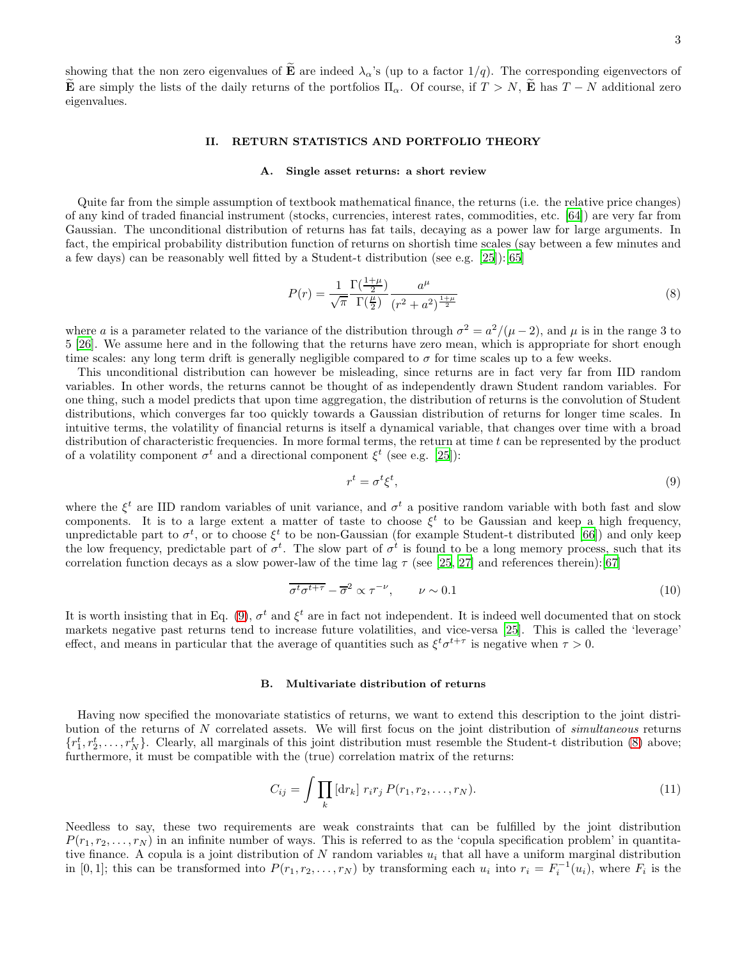showing that the non zero eigenvalues of  $\tilde{E}$  are indeed  $\lambda_{\alpha}$ 's (up to a factor 1/q). The corresponding eigenvectors of E are simply the lists of the daily returns of the portfolios  $\Pi_{\alpha}$ . Of course, if  $T > N$ , E has  $T - N$  additional zero eigenvalues.

## II. RETURN STATISTICS AND PORTFOLIO THEORY

#### A. Single asset returns: a short review

Quite far from the simple assumption of textbook mathematical finance, the returns (i.e. the relative price changes) of any kind of traded financial instrument (stocks, currencies, interest rates, commodities, etc. [\[64](#page-22-1)]) are very far from Gaussian. The unconditional distribution of returns has fat tails, decaying as a power law for large arguments. In fact, the empirical probability distribution function of returns on shortish time scales (say between a few minutes and a few days) can be reasonably well fitted by a Student-t distribution (see e.g. [\[25](#page-21-24)]):[\[65](#page-22-2)]

<span id="page-2-1"></span>
$$
P(r) = \frac{1}{\sqrt{\pi}} \frac{\Gamma(\frac{1+\mu}{2})}{\Gamma(\frac{\mu}{2})} \frac{a^{\mu}}{(r^2 + a^2)^{\frac{1+\mu}{2}}}
$$
(8)

where a is a parameter related to the variance of the distribution through  $\sigma^2 = a^2/(\mu - 2)$ , and  $\mu$  is in the range 3 to 5 [\[26](#page-21-25)]. We assume here and in the following that the returns have zero mean, which is appropriate for short enough time scales: any long term drift is generally negligible compared to  $\sigma$  for time scales up to a few weeks.

This unconditional distribution can however be misleading, since returns are in fact very far from IID random variables. In other words, the returns cannot be thought of as independently drawn Student random variables. For one thing, such a model predicts that upon time aggregation, the distribution of returns is the convolution of Student distributions, which converges far too quickly towards a Gaussian distribution of returns for longer time scales. In intuitive terms, the volatility of financial returns is itself a dynamical variable, that changes over time with a broad distribution of characteristic frequencies. In more formal terms, the return at time  $t$  can be represented by the product of a volatility component  $\sigma^t$  and a directional component  $\xi^t$  (see e.g. [\[25](#page-21-24)]):

<span id="page-2-0"></span>
$$
r^t = \sigma^t \xi^t,\tag{9}
$$

where the  $\xi^t$  are IID random variables of unit variance, and  $\sigma^t$  a positive random variable with both fast and slow components. It is to a large extent a matter of taste to choose  $\xi^t$  to be Gaussian and keep a high frequency, unpredictable part to  $\sigma^t$ , or to choose  $\xi^t$  to be non-Gaussian (for example Student-t distributed [\[66\]](#page-22-3)) and only keep the low frequency, predictable part of  $\sigma^t$ . The slow part of  $\sigma^t$  is found to be a long memory process, such that its correlation function decays as a slow power-law of the time lag  $\tau$  (see [\[25,](#page-21-24) [27\]](#page-21-26) and references therein):[\[67\]](#page-22-4)

$$
\overline{\sigma^t \sigma^{t+\tau}} - \overline{\sigma}^2 \propto \tau^{-\nu}, \qquad \nu \sim 0.1 \tag{10}
$$

It is worth insisting that in Eq. [\(9\)](#page-2-0),  $\sigma^t$  and  $\xi^t$  are in fact not independent. It is indeed well documented that on stock markets negative past returns tend to increase future volatilities, and vice-versa [\[25\]](#page-21-24). This is called the 'leverage' effect, and means in particular that the average of quantities such as  $\xi^t \sigma^{t+\tau}$  is negative when  $\tau > 0$ .

## <span id="page-2-2"></span>B. Multivariate distribution of returns

Having now specified the monovariate statistics of returns, we want to extend this description to the joint distribution of the returns of N correlated assets. We will first focus on the joint distribution of simultaneous returns  $\{r_1^t, r_2^t, \ldots, r_N^t\}$ . Clearly, all marginals of this joint distribution must resemble the Student-t distribution [\(8\)](#page-2-1) above; furthermore, it must be compatible with the (true) correlation matrix of the returns:

$$
C_{ij} = \int \prod_{k} [\mathrm{d}r_{k}] \; r_{i} r_{j} \; P(r_{1}, r_{2}, \dots, r_{N}). \tag{11}
$$

Needless to say, these two requirements are weak constraints that can be fulfilled by the joint distribution  $P(r_1, r_2, \ldots, r_N)$  in an infinite number of ways. This is referred to as the 'copula specification problem' in quantitative finance. A copula is a joint distribution of N random variables  $u_i$  that all have a uniform marginal distribution in [0,1]; this can be transformed into  $P(r_1, r_2, \ldots, r_N)$  by transforming each  $u_i$  into  $r_i = F_i^{-1}(u_i)$ , where  $F_i$  is the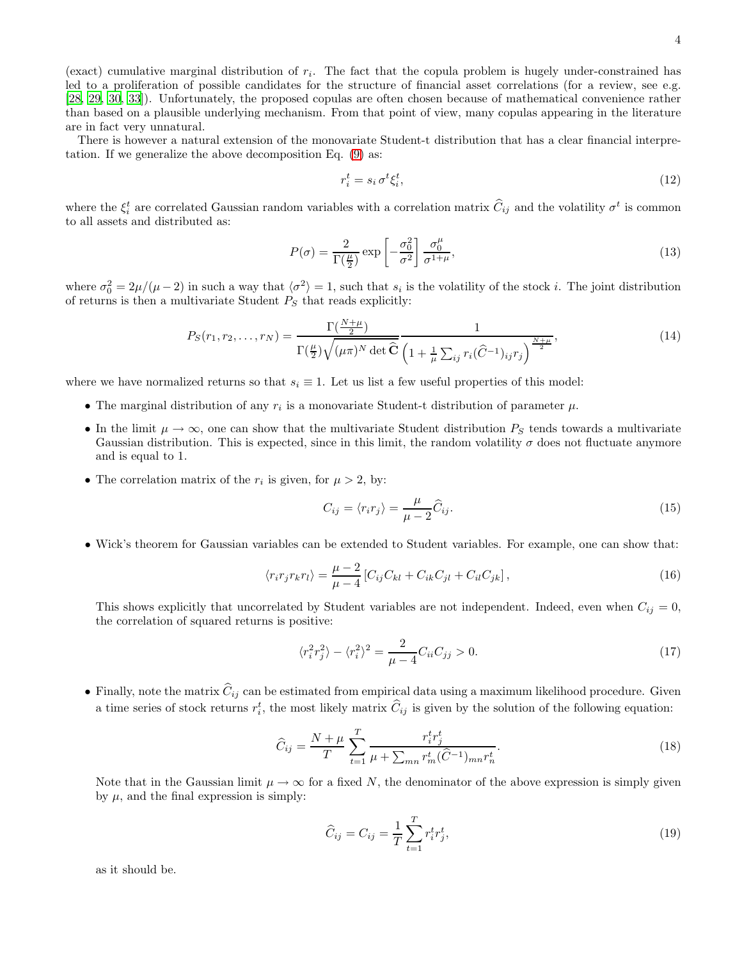(exact) cumulative marginal distribution of  $r_i$ . The fact that the copula problem is hugely under-constrained has led to a proliferation of possible candidates for the structure of financial asset correlations (for a review, see e.g. [\[28,](#page-21-27) [29](#page-21-28), [30,](#page-21-29) [33](#page-21-30)]). Unfortunately, the proposed copulas are often chosen because of mathematical convenience rather than based on a plausible underlying mechanism. From that point of view, many copulas appearing in the literature are in fact very unnatural.

There is however a natural extension of the monovariate Student-t distribution that has a clear financial interpretation. If we generalize the above decomposition Eq. [\(9\)](#page-2-0) as:

$$
r_i^t = s_i \,\sigma^t \xi_i^t,\tag{12}
$$

where the  $\xi_i^t$  are correlated Gaussian random variables with a correlation matrix  $\hat{C}_{ij}$  and the volatility  $\sigma^t$  is common to all assets and distributed as:

<span id="page-3-1"></span>
$$
P(\sigma) = \frac{2}{\Gamma(\frac{\mu}{2})} \exp\left[-\frac{\sigma_0^2}{\sigma^2}\right] \frac{\sigma_0^{\mu}}{\sigma^{1+\mu}},\tag{13}
$$

where  $\sigma_0^2 = 2\mu/(\mu - 2)$  in such a way that  $\langle \sigma^2 \rangle = 1$ , such that  $s_i$  is the volatility of the stock *i*. The joint distribution of returns is then a multivariate Student  $P_S$  that reads explicitly:

$$
P_S(r_1, r_2, \dots, r_N) = \frac{\Gamma(\frac{N+\mu}{2})}{\Gamma(\frac{\mu}{2})\sqrt{(\mu\pi)^N \det \widehat{C}} \left(1 + \frac{1}{\mu} \sum_{ij} r_i(\widehat{C}^{-1})_{ij} r_j\right)^{\frac{N+\mu}{2}}},\tag{14}
$$

where we have normalized returns so that  $s_i \equiv 1$ . Let us list a few useful properties of this model:

- The marginal distribution of any  $r_i$  is a monovariate Student-t distribution of parameter  $\mu$ .
- In the limit  $\mu \to \infty$ , one can show that the multivariate Student distribution  $P_S$  tends towards a multivariate Gaussian distribution. This is expected, since in this limit, the random volatility  $\sigma$  does not fluctuate anymore and is equal to 1.
- The correlation matrix of the  $r_i$  is given, for  $\mu > 2$ , by:

$$
C_{ij} = \langle r_i r_j \rangle = \frac{\mu}{\mu - 2} \widehat{C}_{ij}.
$$
\n(15)

• Wick's theorem for Gaussian variables can be extended to Student variables. For example, one can show that:

$$
\langle r_i r_j r_k r_l \rangle = \frac{\mu - 2}{\mu - 4} \left[ C_{ij} C_{kl} + C_{ik} C_{jl} + C_{il} C_{jk} \right],\tag{16}
$$

This shows explicitly that uncorrelated by Student variables are not independent. Indeed, even when  $C_{ij} = 0$ , the correlation of squared returns is positive:

$$
\langle r_i^2 r_j^2 \rangle - \langle r_i^2 \rangle^2 = \frac{2}{\mu - 4} C_{ii} C_{jj} > 0. \tag{17}
$$

• Finally, note the matrix  $\hat{C}_{ij}$  can be estimated from empirical data using a maximum likelihood procedure. Given a time series of stock returns  $r_i^t$ , the most likely matrix  $\hat{C}_{ij}$  is given by the solution of the following equation:

<span id="page-3-0"></span>
$$
\widehat{C}_{ij} = \frac{N+\mu}{T} \sum_{t=1}^{T} \frac{r_i^t r_j^t}{\mu + \sum_{mn} r_m^t (\widehat{C}^{-1})_{mn} r_n^t}.
$$
\n(18)

Note that in the Gaussian limit  $\mu \to \infty$  for a fixed N, the denominator of the above expression is simply given by  $\mu$ , and the final expression is simply:

$$
\widehat{C}_{ij} = C_{ij} = \frac{1}{T} \sum_{t=1}^{T} r_i^t r_j^t,
$$
\n(19)

as it should be.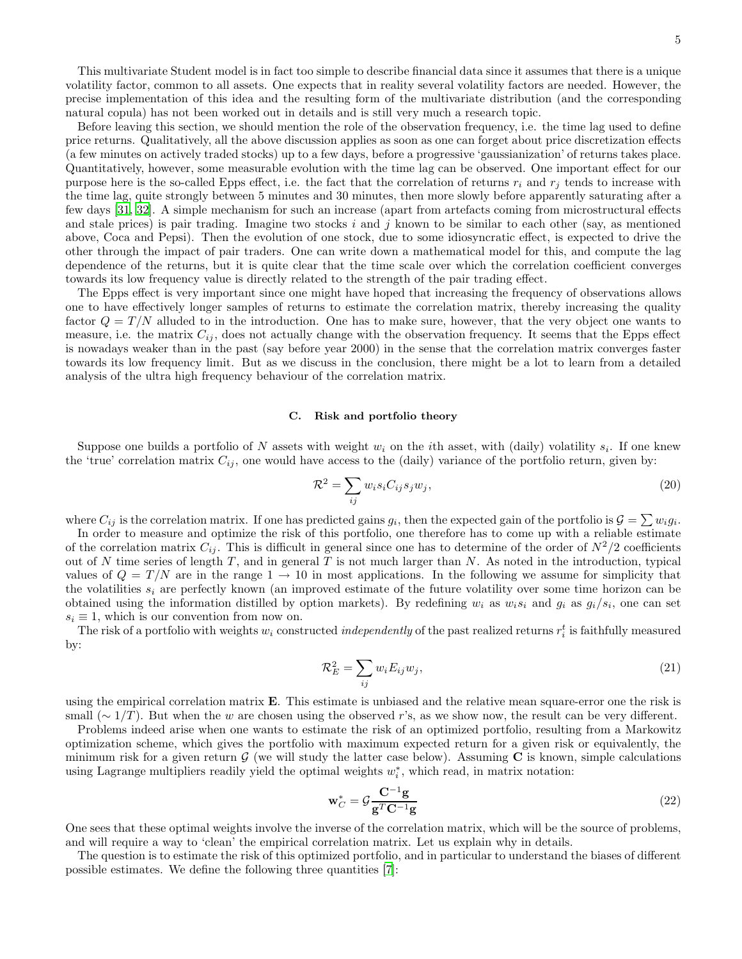This multivariate Student model is in fact too simple to describe financial data since it assumes that there is a unique volatility factor, common to all assets. One expects that in reality several volatility factors are needed. However, the precise implementation of this idea and the resulting form of the multivariate distribution (and the corresponding natural copula) has not been worked out in details and is still very much a research topic.

Before leaving this section, we should mention the role of the observation frequency, i.e. the time lag used to define price returns. Qualitatively, all the above discussion applies as soon as one can forget about price discretization effects (a few minutes on actively traded stocks) up to a few days, before a progressive 'gaussianization' of returns takes place. Quantitatively, however, some measurable evolution with the time lag can be observed. One important effect for our purpose here is the so-called Epps effect, i.e. the fact that the correlation of returns  $r_i$  and  $r_j$  tends to increase with the time lag, quite strongly between 5 minutes and 30 minutes, then more slowly before apparently saturating after a few days [\[31](#page-21-31), [32\]](#page-21-32). A simple mechanism for such an increase (apart from artefacts coming from microstructural effects and stale prices) is pair trading. Imagine two stocks i and j known to be similar to each other (say, as mentioned above, Coca and Pepsi). Then the evolution of one stock, due to some idiosyncratic effect, is expected to drive the other through the impact of pair traders. One can write down a mathematical model for this, and compute the lag dependence of the returns, but it is quite clear that the time scale over which the correlation coefficient converges towards its low frequency value is directly related to the strength of the pair trading effect.

The Epps effect is very important since one might have hoped that increasing the frequency of observations allows one to have effectively longer samples of returns to estimate the correlation matrix, thereby increasing the quality factor  $Q = T/N$  alluded to in the introduction. One has to make sure, however, that the very object one wants to measure, i.e. the matrix  $C_{ij}$ , does not actually change with the observation frequency. It seems that the Epps effect is nowadays weaker than in the past (say before year 2000) in the sense that the correlation matrix converges faster towards its low frequency limit. But as we discuss in the conclusion, there might be a lot to learn from a detailed analysis of the ultra high frequency behaviour of the correlation matrix.

## <span id="page-4-1"></span>C. Risk and portfolio theory

Suppose one builds a portfolio of N assets with weight  $w_i$  on the *i*th asset, with (daily) volatility  $s_i$ . If one knew the 'true' correlation matrix  $C_{ij}$ , one would have access to the (daily) variance of the portfolio return, given by:

$$
\mathcal{R}^2 = \sum_{ij} w_i s_i C_{ij} s_j w_j,\tag{20}
$$

where  $C_{ij}$  is the correlation matrix. If one has predicted gains  $g_i$ , then the expected gain of the portfolio is  $\mathcal{G} = \sum w_i g_i$ .

In order to measure and optimize the risk of this portfolio, one therefore has to come up with a reliable estimate of the correlation matrix  $C_{ij}$ . This is difficult in general since one has to determine of the order of  $N^2/2$  coefficients out of N time series of length T, and in general T is not much larger than N. As noted in the introduction, typical values of  $Q = T/N$  are in the range  $1 \rightarrow 10$  in most applications. In the following we assume for simplicity that the volatilities  $s_i$  are perfectly known (an improved estimate of the future volatility over some time horizon can be obtained using the information distilled by option markets). By redefining  $w_i$  as  $w_i s_i$  and  $g_i$  as  $g_i/s_i$ , one can set  $s_i \equiv 1$ , which is our convention from now on.

The risk of a portfolio with weights  $w_i$  constructed *independently* of the past realized returns  $r_i^t$  is faithfully measured by:

$$
\mathcal{R}_E^2 = \sum_{ij} w_i E_{ij} w_j,\tag{21}
$$

using the empirical correlation matrix  $\bf{E}$ . This estimate is unbiased and the relative mean square-error one the risk is small ( $\sim 1/T$ ). But when the w are chosen using the observed r's, as we show now, the result can be very different.

Problems indeed arise when one wants to estimate the risk of an optimized portfolio, resulting from a Markowitz optimization scheme, which gives the portfolio with maximum expected return for a given risk or equivalently, the minimum risk for a given return  $G$  (we will study the latter case below). Assuming  $C$  is known, simple calculations using Lagrange multipliers readily yield the optimal weights  $w_i^*$ , which read, in matrix notation:

<span id="page-4-0"></span>
$$
\mathbf{w}_C^* = \mathcal{G} \frac{\mathbf{C}^{-1} \mathbf{g}}{\mathbf{g}^T \mathbf{C}^{-1} \mathbf{g}}\tag{22}
$$

One sees that these optimal weights involve the inverse of the correlation matrix, which will be the source of problems, and will require a way to 'clean' the empirical correlation matrix. Let us explain why in details.

The question is to estimate the risk of this optimized portfolio, and in particular to understand the biases of different possible estimates. We define the following three quantities [\[7\]](#page-21-6):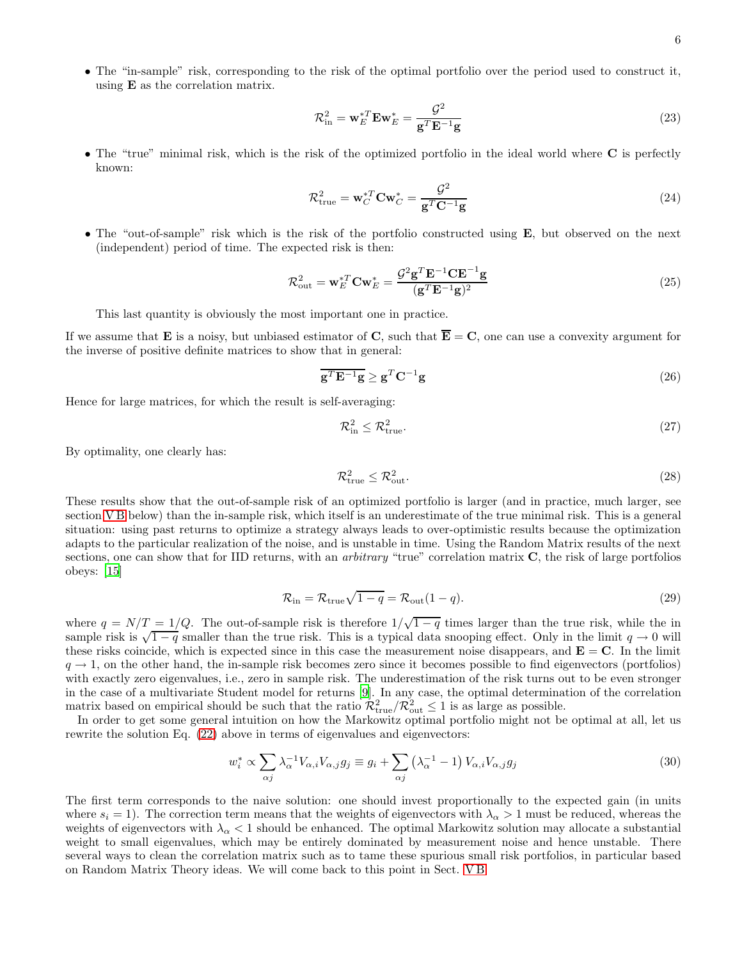• The "in-sample" risk, corresponding to the risk of the optimal portfolio over the period used to construct it, using E as the correlation matrix.

$$
\mathcal{R}_{\text{in}}^2 = \mathbf{w}_E^{*T} \mathbf{E} \mathbf{w}_E^* = \frac{\mathcal{G}^2}{\mathbf{g}^T \mathbf{E}^{-1} \mathbf{g}}
$$
(23)

• The "true" minimal risk, which is the risk of the optimized portfolio in the ideal world where C is perfectly known:

$$
\mathcal{R}_{\text{true}}^2 = \mathbf{w}_C^{*T} \mathbf{C} \mathbf{w}_C^* = \frac{\mathcal{G}^2}{\mathbf{g}^T \mathbf{C}^{-1} \mathbf{g}}
$$
(24)

• The "out-of-sample" risk which is the risk of the portfolio constructed using **E**, but observed on the next (independent) period of time. The expected risk is then:

$$
\mathcal{R}_{\text{out}}^2 = \mathbf{w}_E^{*T} \mathbf{C} \mathbf{w}_E^* = \frac{\mathcal{G}^2 \mathbf{g}^T \mathbf{E}^{-1} \mathbf{C} \mathbf{E}^{-1} \mathbf{g}}{(\mathbf{g}^T \mathbf{E}^{-1} \mathbf{g})^2}
$$
(25)

This last quantity is obviously the most important one in practice.

If we assume that **E** is a noisy, but unbiased estimator of **C**, such that  $\overline{\mathbf{E}} = \mathbf{C}$ , one can use a convexity argument for the inverse of positive definite matrices to show that in general:

$$
\overline{\mathbf{g}^T \mathbf{E}^{-1} \mathbf{g}} \ge \mathbf{g}^T \mathbf{C}^{-1} \mathbf{g}
$$
 (26)

Hence for large matrices, for which the result is self-averaging:

$$
\mathcal{R}_{\text{in}}^2 \le \mathcal{R}_{\text{true}}^2. \tag{27}
$$

By optimality, one clearly has:

$$
\mathcal{R}_{\text{true}}^2 \le \mathcal{R}_{\text{out}}^2. \tag{28}
$$

These results show that the out-of-sample risk of an optimized portfolio is larger (and in practice, much larger, see section VB below) than the in-sample risk, which itself is an underestimate of the true minimal risk. This is a general situation: using past returns to optimize a strategy always leads to over-optimistic results because the optimization adapts to the particular realization of the noise, and is unstable in time. Using the Random Matrix results of the next sections, one can show that for IID returns, with an *arbitrary* "true" correlation matrix  $C$ , the risk of large portfolios obeys: [\[15](#page-21-14)]

<span id="page-5-0"></span>
$$
\mathcal{R}_{\text{in}} = \mathcal{R}_{\text{true}}\sqrt{1-q} = \mathcal{R}_{\text{out}}(1-q). \tag{29}
$$

where  $q = N/T = 1/Q$ . The out-of-sample risk is therefore  $1/\sqrt{1-q}$  times larger than the true risk, while the in sample risk is  $\sqrt{1-q}$  smaller than the true risk. This is a typical data snooping effect. Only in the limit  $q \to 0$  will these risks coincide, which is expected since in this case the measurement noise disappears, and  $E = C$ . In the limit  $q \rightarrow 1$ , on the other hand, the in-sample risk becomes zero since it becomes possible to find eigenvectors (portfolios) with exactly zero eigenvalues, i.e., zero in sample risk. The underestimation of the risk turns out to be even stronger in the case of a multivariate Student model for returns [\[9](#page-21-8)]. In any case, the optimal determination of the correlation matrix based on empirical should be such that the ratio  $\mathcal{R}^2_{\text{true}}/\mathcal{R}^2_{\text{out}} \leq 1$  is as large as possible.

In order to get some general intuition on how the Markowitz optimal portfolio might not be optimal at all, let us rewrite the solution Eq. [\(22\)](#page-4-0) above in terms of eigenvalues and eigenvectors:

$$
w_i^* \propto \sum_{\alpha j} \lambda_{\alpha}^{-1} V_{\alpha,i} V_{\alpha,j} g_j \equiv g_i + \sum_{\alpha j} \left( \lambda_{\alpha}^{-1} - 1 \right) V_{\alpha,i} V_{\alpha,j} g_j \tag{30}
$$

The first term corresponds to the naive solution: one should invest proportionally to the expected gain (in units where  $s_i = 1$ ). The correction term means that the weights of eigenvectors with  $\lambda_{\alpha} > 1$  must be reduced, whereas the weights of eigenvectors with  $\lambda_{\alpha} < 1$  should be enhanced. The optimal Markowitz solution may allocate a substantial weight to small eigenvalues, which may be entirely dominated by measurement noise and hence unstable. There several ways to clean the correlation matrix such as to tame these spurious small risk portfolios, in particular based on Random Matrix Theory ideas. We will come back to this point in Sect. [V B](#page-16-0)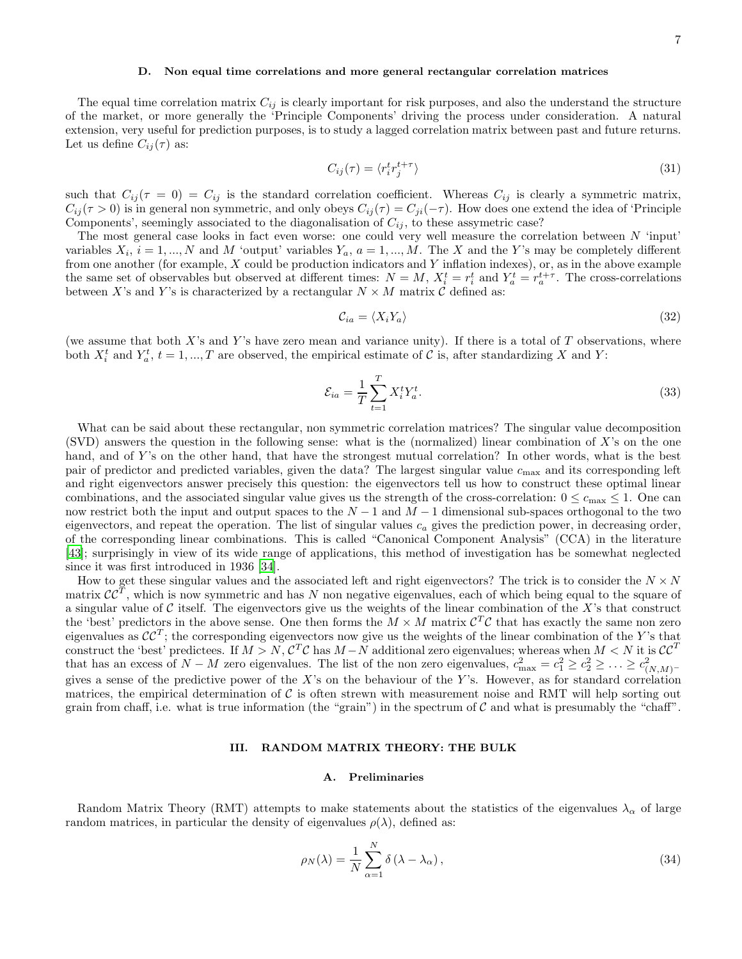## <span id="page-6-0"></span>D. Non equal time correlations and more general rectangular correlation matrices

The equal time correlation matrix  $C_{ij}$  is clearly important for risk purposes, and also the understand the structure of the market, or more generally the 'Principle Components' driving the process under consideration. A natural extension, very useful for prediction purposes, is to study a lagged correlation matrix between past and future returns. Let us define  $C_{ij}(\tau)$  as:

<span id="page-6-2"></span>
$$
C_{ij}(\tau) = \langle r_i^t r_j^{t+\tau} \rangle \tag{31}
$$

such that  $C_{ij}(\tau = 0) = C_{ij}$  is the standard correlation coefficient. Whereas  $C_{ij}$  is clearly a symmetric matrix,  $C_{ij}(\tau > 0)$  is in general non symmetric, and only obeys  $C_{ij}(\tau) = C_{ji}(-\tau)$ . How does one extend the idea of 'Principle Components', seemingly associated to the diagonalisation of  $C_{ij}$ , to these assymetric case?

The most general case looks in fact even worse: one could very well measure the correlation between  $N$  'input' variables  $X_i$ ,  $i = 1, ..., N$  and M 'output' variables  $Y_a$ ,  $a = 1, ..., M$ . The X and the Y's may be completely different from one another (for example,  $X$  could be production indicators and  $Y$  inflation indexes), or, as in the above example the same set of observables but observed at different times:  $N = M$ ,  $X_i^t = r_i^t$  and  $Y_a^t = r_a^{t+\tau}$ . The cross-correlations between X's and Y's is characterized by a rectangular  $N \times M$  matrix  $\hat{C}$  defined as:

$$
\mathcal{C}_{ia} = \langle X_i Y_a \rangle \tag{32}
$$

(we assume that both X's and Y's have zero mean and variance unity). If there is a total of T observations, where both  $X_i^t$  and  $Y_a^t$ ,  $t = 1, ..., T$  are observed, the empirical estimate of C is, after standardizing X and Y:

<span id="page-6-1"></span>
$$
\mathcal{E}_{ia} = \frac{1}{T} \sum_{t=1}^{T} X_i^t Y_a^t. \tag{33}
$$

What can be said about these rectangular, non symmetric correlation matrices? The singular value decomposition (SVD) answers the question in the following sense: what is the (normalized) linear combination of X's on the one hand, and of Y's on the other hand, that have the strongest mutual correlation? In other words, what is the best pair of predictor and predicted variables, given the data? The largest singular value  $c_{\text{max}}$  and its corresponding left and right eigenvectors answer precisely this question: the eigenvectors tell us how to construct these optimal linear combinations, and the associated singular value gives us the strength of the cross-correlation:  $0 \leq c_{\text{max}} \leq 1$ . One can now restrict both the input and output spaces to the  $N-1$  and  $M-1$  dimensional sub-spaces orthogonal to the two eigenvectors, and repeat the operation. The list of singular values  $c_a$  gives the prediction power, in decreasing order, of the corresponding linear combinations. This is called "Canonical Component Analysis" (CCA) in the literature [\[43\]](#page-21-33); surprisingly in view of its wide range of applications, this method of investigation has be somewhat neglected since it was first introduced in 1936 [\[34\]](#page-21-34).

How to get these singular values and the associated left and right eigenvectors? The trick is to consider the  $N \times N$ matrix  $\mathcal{CC}^T$ , which is now symmetric and has N non negative eigenvalues, each of which being equal to the square of a singular value of  $\mathcal C$  itself. The eigenvectors give us the weights of the linear combination of the X's that construct the 'best' predictors in the above sense. One then forms the  $M \times M$  matrix  $C^{T}C$  that has exactly the same non zero eigenvalues as  $\mathcal{CC}^T$ ; the corresponding eigenvectors now give us the weights of the linear combination of the Y's that construct the 'best' predictees. If  $M > N$ ,  $C^T C$  has  $M - N$  additional zero eigenvalues; whereas when  $M < N$  it is  $CC^T$ that has an excess of  $N - M$  zero eigenvalues. The list of the non zero eigenvalues,  $c_{\text{max}}^2 = c_1^2 \geq c_2^2 \geq \ldots \geq c_{(N,M)}^2$ gives a sense of the predictive power of the X's on the behaviour of the Y's. However, as for standard correlation matrices, the empirical determination of  $\mathcal C$  is often strewn with measurement noise and RMT will help sorting out grain from chaff, i.e. what is true information (the "grain") in the spectrum of  $\mathcal C$  and what is presumably the "chaff".

## III. RANDOM MATRIX THEORY: THE BULK

## A. Preliminaries

Random Matrix Theory (RMT) attempts to make statements about the statistics of the eigenvalues  $\lambda_{\alpha}$  of large random matrices, in particular the density of eigenvalues  $\rho(\lambda)$ , defined as:

$$
\rho_N(\lambda) = \frac{1}{N} \sum_{\alpha=1}^N \delta(\lambda - \lambda_\alpha), \qquad (34)
$$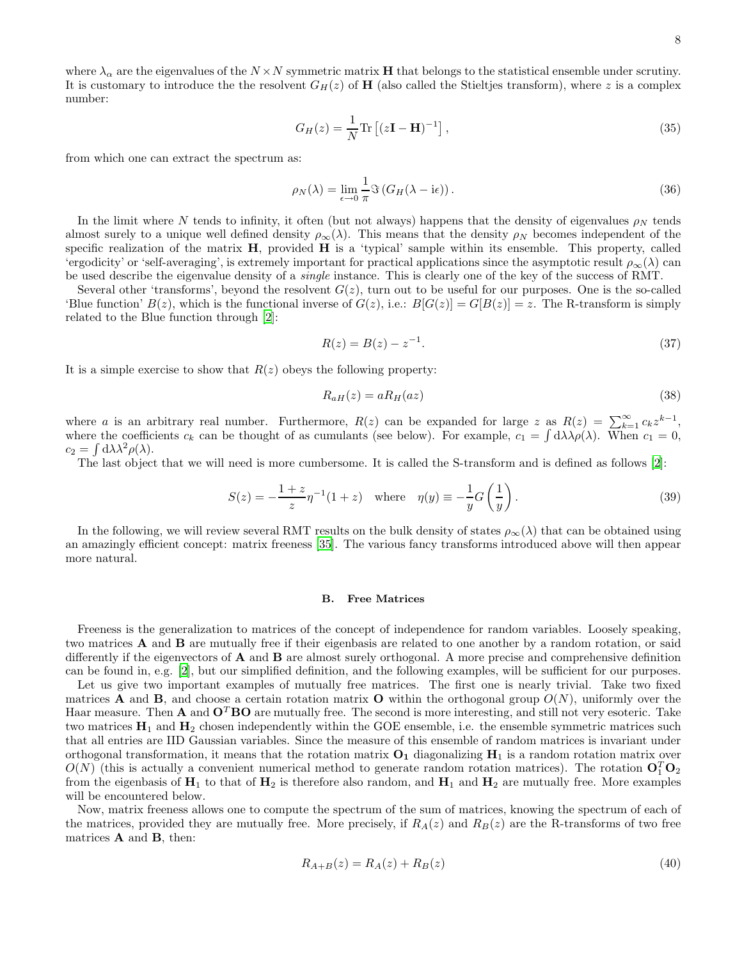where  $\lambda_{\alpha}$  are the eigenvalues of the  $N \times N$  symmetric matrix **H** that belongs to the statistical ensemble under scrutiny. It is customary to introduce the the resolvent  $G_H(z)$  of H (also called the Stieltjes transform), where z is a complex number:

$$
G_H(z) = \frac{1}{N} \text{Tr} \left[ (z\mathbf{I} - \mathbf{H})^{-1} \right],\tag{35}
$$

from which one can extract the spectrum as:

$$
\rho_N(\lambda) = \lim_{\epsilon \to 0} \frac{1}{\pi} \Im \left( G_H(\lambda - i\epsilon) \right). \tag{36}
$$

In the limit where N tends to infinity, it often (but not always) happens that the density of eigenvalues  $\rho_N$  tends almost surely to a unique well defined density  $\rho_{\infty}(\lambda)$ . This means that the density  $\rho_N$  becomes independent of the specific realization of the matrix  $H$ , provided  $H$  is a 'typical' sample within its ensemble. This property, called 'ergodicity' or 'self-averaging', is extremely important for practical applications since the asymptotic result  $\rho_{\infty}(\lambda)$  can be used describe the eigenvalue density of a single instance. This is clearly one of the key of the success of RMT.

Several other 'transforms', beyond the resolvent  $G(z)$ , turn out to be useful for our purposes. One is the so-called 'Blue function'  $B(z)$ , which is the functional inverse of  $G(z)$ , i.e.:  $B[G(z)] = G[B(z)] = z$ . The R-transform is simply related to the Blue function through [\[2](#page-21-1)]:

$$
R(z) = B(z) - z^{-1}.
$$
\n(37)

It is a simple exercise to show that  $R(z)$  obeys the following property:

<span id="page-7-0"></span>
$$
R_{aH}(z) = aR_H(az) \tag{38}
$$

where a is an arbitrary real number. Furthermore,  $R(z)$  can be expanded for large z as  $R(z) = \sum_{k=1}^{\infty} c_k z^{k-1}$ , where the coefficients  $c_k$  can be thought of as cumulants (see below). For example,  $c_1 = \int d\lambda \lambda \rho(\lambda)$ . When  $c_1 = 0$ ,  $c_2 = \int d\lambda \lambda^2 \rho(\lambda).$ 

The last object that we will need is more cumbersome. It is called the S-transform and is defined as follows [\[2\]](#page-21-1):

$$
S(z) = -\frac{1+z}{z}\eta^{-1}(1+z) \quad \text{where} \quad \eta(y) \equiv -\frac{1}{y}G\left(\frac{1}{y}\right). \tag{39}
$$

In the following, we will review several RMT results on the bulk density of states  $\rho_{\infty}(\lambda)$  that can be obtained using an amazingly efficient concept: matrix freeness [\[35\]](#page-21-35). The various fancy transforms introduced above will then appear more natural.

## B. Free Matrices

Freeness is the generalization to matrices of the concept of independence for random variables. Loosely speaking, two matrices A and B are mutually free if their eigenbasis are related to one another by a random rotation, or said differently if the eigenvectors of **A** and **B** are almost surely orthogonal. A more precise and comprehensive definition can be found in, e.g. [\[2\]](#page-21-1), but our simplified definition, and the following examples, will be sufficient for our purposes.

Let us give two important examples of mutually free matrices. The first one is nearly trivial. Take two fixed matrices **A** and **B**, and choose a certain rotation matrix **O** within the orthogonal group  $O(N)$ , uniformly over the Haar measure. Then A and  $O<sup>T</sup>BO$  are mutually free. The second is more interesting, and still not very esoteric. Take two matrices  $\mathbf{H}_1$  and  $\mathbf{H}_2$  chosen independently within the GOE ensemble, i.e. the ensemble symmetric matrices such that all entries are IID Gaussian variables. Since the measure of this ensemble of random matrices is invariant under orthogonal transformation, it means that the rotation matrix  $O_1$  diagonalizing  $H_1$  is a random rotation matrix over  $O(N)$  (this is actually a convenient numerical method to generate random rotation matrices). The rotation  $O_1^T O_2$ from the eigenbasis of  $H_1$  to that of  $H_2$  is therefore also random, and  $H_1$  and  $H_2$  are mutually free. More examples will be encountered below.

Now, matrix freeness allows one to compute the spectrum of the sum of matrices, knowing the spectrum of each of the matrices, provided they are mutually free. More precisely, if  $R_A(z)$  and  $R_B(z)$  are the R-transforms of two free matrices  $A$  and  $B$ , then:

$$
R_{A+B}(z) = R_A(z) + R_B(z)
$$
\n(40)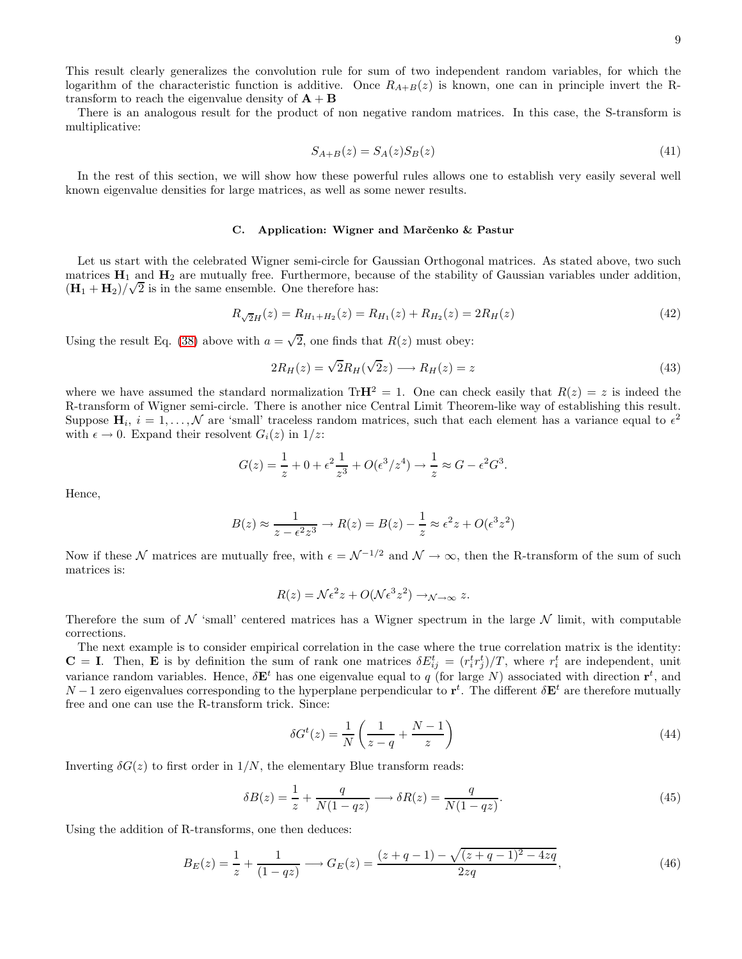This result clearly generalizes the convolution rule for sum of two independent random variables, for which the logarithm of the characteristic function is additive. Once  $R_{A+B}(z)$  is known, one can in principle invert the Rtransform to reach the eigenvalue density of  $A + B$ 

There is an analogous result for the product of non negative random matrices. In this case, the S-transform is multiplicative:

$$
S_{A+B}(z) = S_A(z)S_B(z)
$$
\n
$$
(41)
$$

In the rest of this section, we will show how these powerful rules allows one to establish very easily several well known eigenvalue densities for large matrices, as well as some newer results.

## C. Application: Wigner and Marčenko & Pastur

Let us start with the celebrated Wigner semi-circle for Gaussian Orthogonal matrices. As stated above, two such matrices  $H_1$  and  $H_2$  are mutually free. Furthermore, because of the stability of Gaussian variables under addition,  $(\mathbf{H}_1 + \mathbf{H}_2)/\sqrt{2}$  is in the same ensemble. One therefore has:

$$
R_{\sqrt{2}H}(z) = R_{H_1 + H_2}(z) = R_{H_1}(z) + R_{H_2}(z) = 2R_H(z)
$$
\n<sup>(42)</sup>

Using the result Eq. [\(38\)](#page-7-0) above with  $a = \sqrt{2}$ , one finds that  $R(z)$  must obey:

$$
2R_H(z) = \sqrt{2}R_H(\sqrt{2}z) \longrightarrow R_H(z) = z \tag{43}
$$

where we have assumed the standard normalization TrH<sup>2</sup> = 1. One can check easily that  $R(z) = z$  is indeed the R-transform of Wigner semi-circle. There is another nice Central Limit Theorem-like way of establishing this result. Suppose  $\mathbf{H}_i$ ,  $i = 1, ..., \mathcal{N}$  are 'small' traceless random matrices, such that each element has a variance equal to  $\epsilon^2$ with  $\epsilon \to 0$ . Expand their resolvent  $G_i(z)$  in  $1/z$ .

$$
G(z) = \frac{1}{z} + 0 + \epsilon^2 \frac{1}{z^3} + O(\epsilon^3 / z^4) \to \frac{1}{z} \approx G - \epsilon^2 G^3.
$$

Hence,

$$
B(z) \approx \frac{1}{z - \epsilon^2 z^3} \to R(z) = B(z) - \frac{1}{z} \approx \epsilon^2 z + O(\epsilon^3 z^2)
$$

Now if these N matrices are mutually free, with  $\epsilon = \mathcal{N}^{-1/2}$  and  $\mathcal{N} \to \infty$ , then the R-transform of the sum of such matrices is:

$$
R(z) = \mathcal{N}\epsilon^2 z + O(\mathcal{N}\epsilon^3 z^2) \to_{\mathcal{N}\to\infty} z.
$$

Therefore the sum of  $N$  'small' centered matrices has a Wigner spectrum in the large  $N$  limit, with computable corrections.

The next example is to consider empirical correlation in the case where the true correlation matrix is the identity:  $\mathbf{C} = \mathbf{I}$ . Then, **E** is by definition the sum of rank one matrices  $\delta E_{ij}^t = (r_i^t r_j^t)/T$ , where  $r_i^t$  are independent, unit variance random variables. Hence,  $\delta \mathbf{E}^t$  has one eigenvalue equal to q (for large N) associated with direction  $\mathbf{r}^t$ , and  $N-1$  zero eigenvalues corresponding to the hyperplane perpendicular to  $\mathbf{r}^t$ . The different  $\delta \mathbf{E}^t$  are therefore mutually free and one can use the R-transform trick. Since:

$$
\delta G^t(z) = \frac{1}{N} \left( \frac{1}{z - q} + \frac{N - 1}{z} \right) \tag{44}
$$

Inverting  $\delta G(z)$  to first order in  $1/N$ , the elementary Blue transform reads:

$$
\delta B(z) = \frac{1}{z} + \frac{q}{N(1 - qz)} \longrightarrow \delta R(z) = \frac{q}{N(1 - qz)}.
$$
\n(45)

Using the addition of R-transforms, one then deduces:

<span id="page-8-0"></span>
$$
B_E(z) = \frac{1}{z} + \frac{1}{(1 - qz)} \longrightarrow G_E(z) = \frac{(z + q - 1) - \sqrt{(z + q - 1)^2 - 4zq}}{2zq},\tag{46}
$$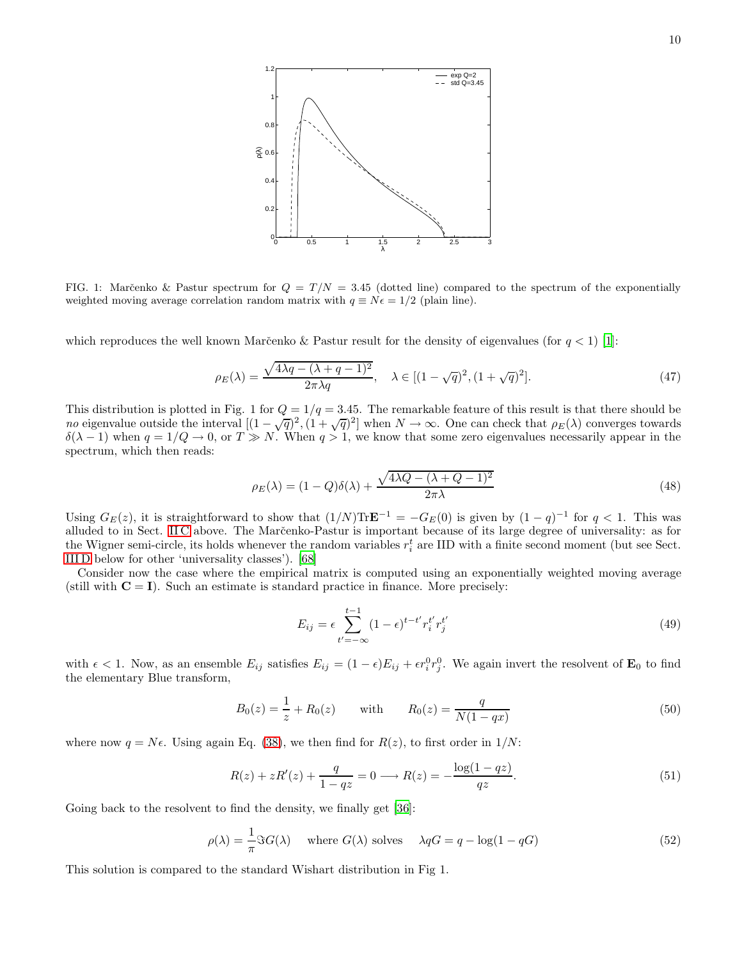

FIG. 1: Marc̆enko & Pastur spectrum for  $Q = T/N = 3.45$  (dotted line) compared to the spectrum of the exponentially weighted moving average correlation random matrix with  $q \equiv N\epsilon = 1/2$  (plain line).

which reproduces the well known Marc̆enko & Pastur result for the density of eigenvalues (for  $q < 1$ ) [\[1\]](#page-21-0):

$$
\rho_E(\lambda) = \frac{\sqrt{4\lambda q - (\lambda + q - 1)^2}}{2\pi\lambda q}, \quad \lambda \in [(1 - \sqrt{q})^2, (1 + \sqrt{q})^2].
$$
\n(47)

This distribution is plotted in Fig. 1 for  $Q = 1/q = 3.45$ . The remarkable feature of this result is that there should be no eigenvalue outside the interval  $[(1-\sqrt{q})^2, (1+\sqrt{q})^2]$  when  $N \to \infty$ . One can check that  $\rho_E(\lambda)$  converges towards  $\delta(\lambda - 1)$  when  $q = 1/Q \to 0$ , or  $T \gg N$ . When  $q > 1$ , we know that some zero eigenvalues necessarily appear in the spectrum, which then reads:

$$
\rho_E(\lambda) = (1 - Q)\delta(\lambda) + \frac{\sqrt{4\lambda Q - (\lambda + Q - 1)^2}}{2\pi\lambda}
$$
\n(48)

Using  $G_E(z)$ , it is straightforward to show that  $(1/N)\text{Tr}\mathbf{E}^{-1} = -G_E(0)$  is given by  $(1-q)^{-1}$  for  $q < 1$ . This was alluded to in Sect. IIC above. The Marc̆enko-Pastur is important because of its large degree of universality: as for the Wigner semi-circle, its holds whenever the random variables  $r_i^t$  are IID with a finite second moment (but see Sect. [III D](#page-10-0) below for other 'universality classes'). [\[68\]](#page-22-5)

Consider now the case where the empirical matrix is computed using an exponentially weighted moving average (still with  $C = I$ ). Such an estimate is standard practice in finance. More precisely:

<span id="page-9-0"></span>
$$
E_{ij} = \epsilon \sum_{t' = -\infty}^{t-1} (1 - \epsilon)^{t-t'} r_i^{t'} r_j^{t'} \tag{49}
$$

with  $\epsilon < 1$ . Now, as an ensemble  $E_{ij}$  satisfies  $E_{ij} = (1 - \epsilon)E_{ij} + \epsilon r_i^0 r_j^0$ . We again invert the resolvent of  $\mathbf{E}_0$  to find the elementary Blue transform,

$$
B_0(z) = \frac{1}{z} + R_0(z) \quad \text{with} \quad R_0(z) = \frac{q}{N(1 - qx)} \tag{50}
$$

where now  $q = N\epsilon$ . Using again Eq. [\(38\)](#page-7-0), we then find for  $R(z)$ , to first order in  $1/N$ :

$$
R(z) + zR'(z) + \frac{q}{1 - qz} = 0 \longrightarrow R(z) = -\frac{\log(1 - qz)}{qz}.
$$
\n
$$
(51)
$$

Going back to the resolvent to find the density, we finally get [\[36\]](#page-21-36):

$$
\rho(\lambda) = \frac{1}{\pi} \Im G(\lambda) \quad \text{where } G(\lambda) \text{ solves } \quad \lambda qG = q - \log(1 - qG) \tag{52}
$$

This solution is compared to the standard Wishart distribution in Fig 1.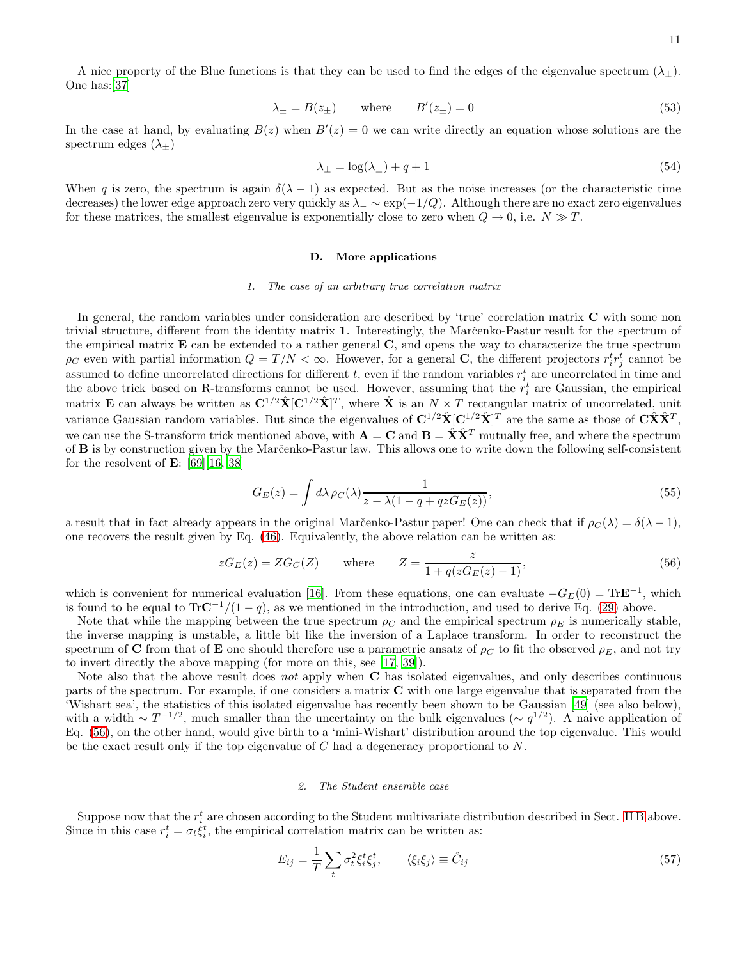A nice property of the Blue functions is that they can be used to find the edges of the eigenvalue spectrum  $(\lambda_{\pm})$ . One has:[\[37](#page-21-37)]

$$
\lambda_{\pm} = B(z_{\pm}) \qquad \text{where} \qquad B'(z_{\pm}) = 0 \tag{53}
$$

In the case at hand, by evaluating  $B(z)$  when  $B'(z) = 0$  we can write directly an equation whose solutions are the spectrum edges  $(\lambda_{+})$ 

$$
\lambda_{\pm} = \log(\lambda_{\pm}) + q + 1 \tag{54}
$$

When q is zero, the spectrum is again  $\delta(\lambda - 1)$  as expected. But as the noise increases (or the characteristic time decreases) the lower edge approach zero very quickly as  $\lambda$ <sub>−</sub> ∼ exp(-1/Q). Although there are no exact zero eigenvalues for these matrices, the smallest eigenvalue is exponentially close to zero when  $Q \to 0$ , i.e.  $N \gg T$ .

### <span id="page-10-0"></span>D. More applications

#### *1. The case of an arbitrary true correlation matrix*

In general, the random variables under consideration are described by 'true' correlation matrix C with some non trivial structure, different from the identity matrix 1. Interestingly, the Marc̆enko-Pastur result for the spectrum of the empirical matrix  $\bf{E}$  can be extended to a rather general  $\bf{C}$ , and opens the way to characterize the true spectrum  $\rho_C$  even with partial information  $Q = T/N < \infty$ . However, for a general **C**, the different projectors  $r_i^t r_j^t$  cannot be assumed to define uncorrelated directions for different t, even if the random variables  $r_{i}^{t}$  are uncorrelated in time and the above trick based on R-transforms cannot be used. However, assuming that the  $r_i^t$  are Gaussian, the empirical matrix **E** can always be written as  $\mathbf{C}^{1/2}\hat{\mathbf{X}}[\mathbf{C}^{1/2}\hat{\mathbf{X}}]^T$ , where  $\hat{\mathbf{X}}$  is an  $N \times T$  rectangular matrix of uncorrelated, unit variance Gaussian random variables. But since the eigenvalues of  $\mathbf{C}^{1/2}\hat{\mathbf{X}}[\mathbf{C}^{1/2}\hat{\mathbf{X}}]^T$  are the same as those of  $\mathbf{C}\hat{\mathbf{X}}\hat{\mathbf{X}}^T$ , we can use the S-transform trick mentioned above, with  $\mathbf{A} = \mathbf{C}$  and  $\mathbf{B} = \hat{\mathbf{X}} \hat{\mathbf{X}}^T$  mutually free, and where the spectrum of **B** is by construction given by the Marc̆enko-Pastur law. This allows one to write down the following self-consistent for the resolvent of  $\mathbf{E}$ : [\[69](#page-22-6)][\[16,](#page-21-15) [38\]](#page-21-38)

<span id="page-10-2"></span>
$$
G_E(z) = \int d\lambda \,\rho_C(\lambda) \frac{1}{z - \lambda(1 - q + qz) E(z)},\tag{55}
$$

a result that in fact already appears in the original Marc̆enko-Pastur paper! One can check that if  $\rho_C(\lambda) = \delta(\lambda - 1)$ , one recovers the result given by Eq. [\(46\)](#page-8-0). Equivalently, the above relation can be written as:

<span id="page-10-1"></span>
$$
zG_E(z) = ZG_C(Z) \qquad \text{where} \qquad Z = \frac{z}{1 + q(zG_E(z) - 1)},\tag{56}
$$

which is convenient for numerical evaluation [\[16](#page-21-15)]. From these equations, one can evaluate  $-G_E(0) = \text{Tr} \mathbf{E}^{-1}$ , which is found to be equal to  $Tr\mathbf{C}^{-1}/(1-q)$ , as we mentioned in the introduction, and used to derive Eq. [\(29\)](#page-5-0) above.

Note that while the mapping between the true spectrum  $\rho_C$  and the empirical spectrum  $\rho_E$  is numerically stable, the inverse mapping is unstable, a little bit like the inversion of a Laplace transform. In order to reconstruct the spectrum of C from that of E one should therefore use a parametric ansatz of  $\rho_C$  to fit the observed  $\rho_E$ , and not try to invert directly the above mapping (for more on this, see [\[17](#page-21-16), [39](#page-21-39)]).

Note also that the above result does not apply when C has isolated eigenvalues, and only describes continuous parts of the spectrum. For example, if one considers a matrix C with one large eigenvalue that is separated from the 'Wishart sea', the statistics of this isolated eigenvalue has recently been shown to be Gaussian [\[49](#page-22-7)] (see also below), with a width  $\sim T^{-1/2}$ , much smaller than the uncertainty on the bulk eigenvalues ( $\sim q^{1/2}$ ). A naive application of Eq. [\(56\)](#page-10-1), on the other hand, would give birth to a 'mini-Wishart' distribution around the top eigenvalue. This would be the exact result only if the top eigenvalue of  $C$  had a degeneracy proportional to  $N$ .

### *2. The Student ensemble case*

Suppose now that the  $r_i^t$  are chosen according to the Student multivariate distribution described in Sect. [II B](#page-2-2) above. Since in this case  $r_i^t = \sigma_t \xi_i^t$ , the empirical correlation matrix can be written as:

$$
E_{ij} = \frac{1}{T} \sum_{t} \sigma_t^2 \xi_i^t \xi_j^t, \qquad \langle \xi_i \xi_j \rangle \equiv \hat{C}_{ij} \tag{57}
$$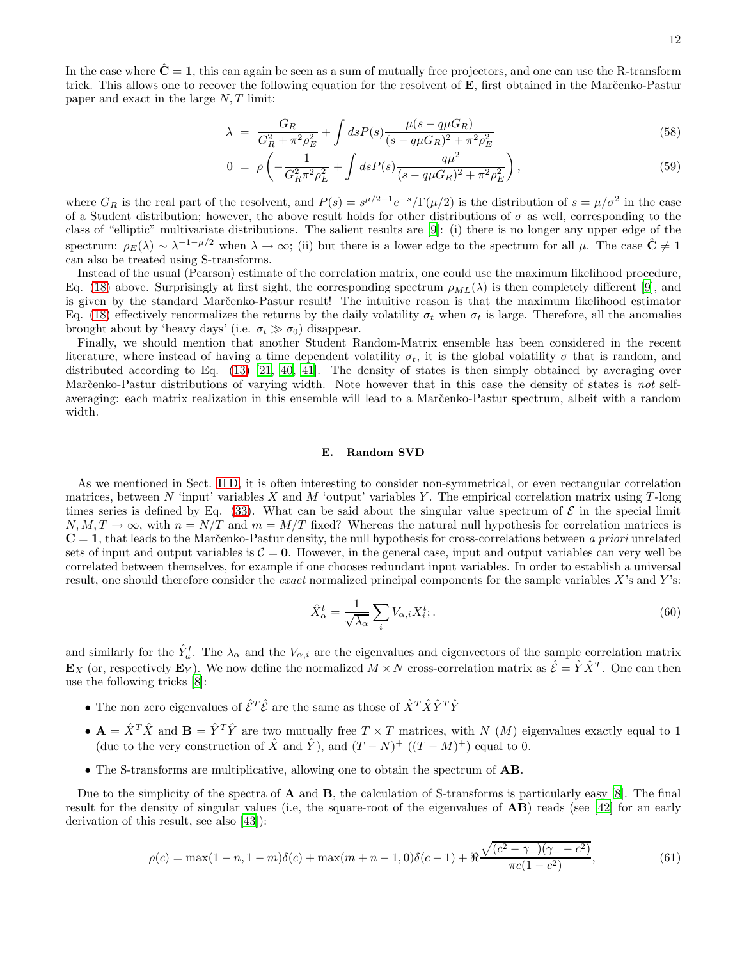In the case where  $\hat{C} = 1$ , this can again be seen as a sum of mutually free projectors, and one can use the R-transform trick. This allows one to recover the following equation for the resolvent of E, first obtained in the Marčenko-Pastur paper and exact in the large N, T limit:

$$
\lambda = \frac{G_R}{G_R^2 + \pi^2 \rho_E^2} + \int ds P(s) \frac{\mu(s - q \mu G_R)}{(s - q \mu G_R)^2 + \pi^2 \rho_E^2}
$$
(58)

$$
0 = \rho \left( -\frac{1}{G_R^2 \pi^2 \rho_E^2} + \int ds P(s) \frac{q\mu^2}{(s - q\mu G_R)^2 + \pi^2 \rho_E^2} \right),\tag{59}
$$

where  $G_R$  is the real part of the resolvent, and  $P(s) = s^{\mu/2-1}e^{-s}/\Gamma(\mu/2)$  is the distribution of  $s = \mu/\sigma^2$  in the case of a Student distribution; however, the above result holds for other distributions of  $\sigma$  as well, corresponding to the class of "elliptic" multivariate distributions. The salient results are [\[9\]](#page-21-8): (i) there is no longer any upper edge of the spectrum:  $\rho_E(\lambda) \sim \lambda^{-1-\mu/2}$  when  $\lambda \to \infty$ ; (ii) but there is a lower edge to the spectrum for all  $\mu$ . The case  $\hat{C} \neq 1$ can also be treated using S-transforms.

Instead of the usual (Pearson) estimate of the correlation matrix, one could use the maximum likelihood procedure, Eq. [\(18\)](#page-3-0) above. Surprisingly at first sight, the corresponding spectrum  $\rho_{ML}(\lambda)$  is then completely different [\[9\]](#page-21-8), and is given by the standard Marc̆enko-Pastur result! The intuitive reason is that the maximum likelihood estimator Eq. [\(18\)](#page-3-0) effectively renormalizes the returns by the daily volatility  $\sigma_t$  when  $\sigma_t$  is large. Therefore, all the anomalies brought about by 'heavy days' (i.e.  $\sigma_t \gg \sigma_0$ ) disappear.

Finally, we should mention that another Student Random-Matrix ensemble has been considered in the recent literature, where instead of having a time dependent volatility  $\sigma_t$ , it is the global volatility  $\sigma$  that is random, and distributed according to Eq. [\(13\)](#page-3-1) [\[21,](#page-21-20) [40,](#page-21-40) [41](#page-21-41)]. The density of states is then simply obtained by averaging over Marčenko-Pastur distributions of varying width. Note however that in this case the density of states is not selfaveraging: each matrix realization in this ensemble will lead to a Marčenko-Pastur spectrum, albeit with a random width.

## E. Random SVD

As we mentioned in Sect. [II D,](#page-6-0) it is often interesting to consider non-symmetrical, or even rectangular correlation matrices, between N 'input' variables X and M 'output' variables Y. The empirical correlation matrix using  $T$ -long times series is defined by Eq. [\(33\)](#page-6-1). What can be said about the singular value spectrum of  $\mathcal E$  in the special limit  $N, M, T \to \infty$ , with  $n = N/T$  and  $m = M/T$  fixed? Whereas the natural null hypothesis for correlation matrices is  $C = 1$ , that leads to the Marc̆enko-Pastur density, the null hypothesis for cross-correlations between a priori unrelated sets of input and output variables is  $C = 0$ . However, in the general case, input and output variables can very well be correlated between themselves, for example if one chooses redundant input variables. In order to establish a universal result, one should therefore consider the *exact* normalized principal components for the sample variables X's and Y's:

$$
\hat{X}_{\alpha}^{t} = \frac{1}{\sqrt{\lambda_{\alpha}}} \sum_{i} V_{\alpha,i} X_{i}^{t};
$$
\n<sup>(60)</sup>

and similarly for the  $\hat{Y}_a^t$ . The  $\lambda_\alpha$  and the  $V_{\alpha,i}$  are the eigenvalues and eigenvectors of the sample correlation matrix  $\mathbf{E}_X$  (or, respectively  $\mathbf{E}_Y$ ). We now define the normalized  $M \times N$  cross-correlation matrix as  $\hat{\mathcal{E}} = \hat{Y} \hat{X}^T$ . One can then use the following tricks [\[8](#page-21-7)]:

- The non zero eigenvalues of  $\hat{\mathcal{E}}^T\hat{\mathcal{E}}$  are the same as those of  $\hat{X}^T\hat{X}\hat{Y}^T\hat{Y}$
- $\mathbf{A} = \hat{X}^T \hat{X}$  and  $\mathbf{B} = \hat{Y}^T \hat{Y}$  are two mutually free  $T \times T$  matrices, with N  $(M)$  eigenvalues exactly equal to 1 (due to the very construction of  $\hat{X}$  and  $\hat{Y}$ ), and  $(T - N)^+$   $((T - M)^+)$  equal to 0.
- The S-transforms are multiplicative, allowing one to obtain the spectrum of AB.

Due to the simplicity of the spectra of  $A$  and  $B$ , the calculation of S-transforms is particularly easy [\[8\]](#page-21-7). The final result for the density of singular values (i.e, the square-root of the eigenvalues of AB) reads (see [\[42\]](#page-21-42) for an early derivation of this result, see also [\[43\]](#page-21-33)):

<span id="page-11-0"></span>
$$
\rho(c) = \max(1 - n, 1 - m)\delta(c) + \max(m + n - 1, 0)\delta(c - 1) + \Re \frac{\sqrt{(c^2 - \gamma_{-})(\gamma_{+} - c^2)}}{\pi c(1 - c^2)},
$$
\n(61)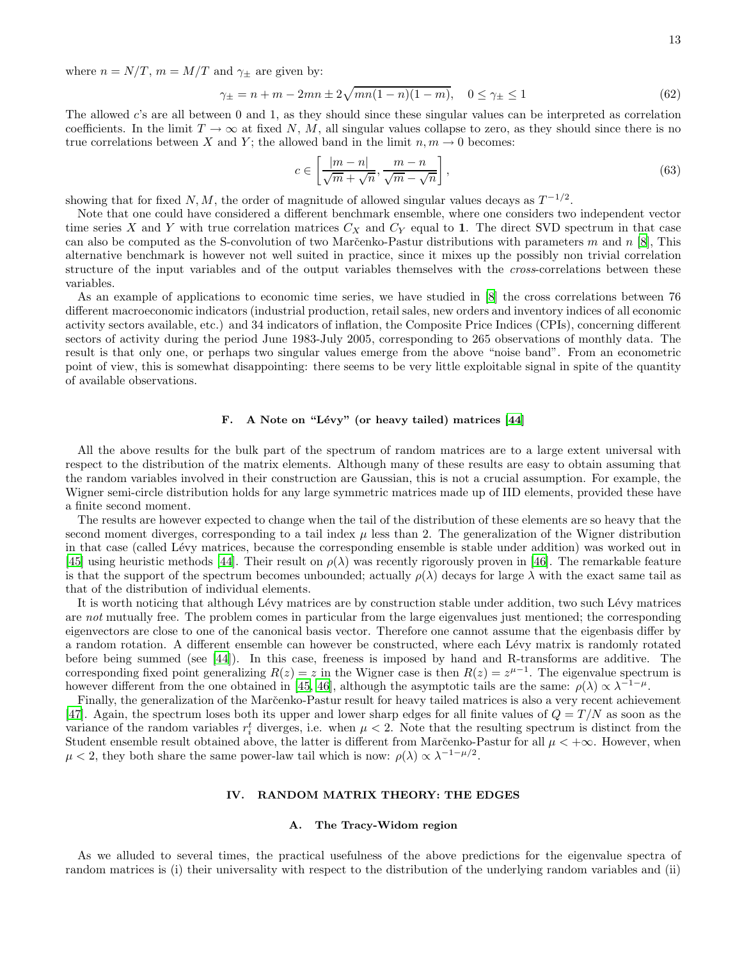where  $n = N/T$ ,  $m = M/T$  and  $\gamma_{\pm}$  are given by:

$$
\gamma_{\pm} = n + m - 2mn \pm 2\sqrt{mn(1-n)(1-m)}, \quad 0 \le \gamma_{\pm} \le 1 \tag{62}
$$

The allowed c's are all between 0 and 1, as they should since these singular values can be interpreted as correlation coefficients. In the limit  $T \to \infty$  at fixed N, M, all singular values collapse to zero, as they should since there is no true correlations between X and Y; the allowed band in the limit  $n, m \to 0$  becomes:

$$
c \in \left[\frac{|m-n|}{\sqrt{m} + \sqrt{n}}, \frac{m-n}{\sqrt{m} - \sqrt{n}}\right],\tag{63}
$$

showing that for fixed  $N, M$ , the order of magnitude of allowed singular values decays as  $T^{-1/2}$ .

Note that one could have considered a different benchmark ensemble, where one considers two independent vector time series X and Y with true correlation matrices  $C_X$  and  $C_Y$  equal to 1. The direct SVD spectrum in that case can also be computed as the S-convolution of two Marc̆enko-Pastur distributions with parameters m and n [\[8\]](#page-21-7), This alternative benchmark is however not well suited in practice, since it mixes up the possibly non trivial correlation structure of the input variables and of the output variables themselves with the *cross*-correlations between these variables.

As an example of applications to economic time series, we have studied in [\[8](#page-21-7)] the cross correlations between 76 different macroeconomic indicators (industrial production, retail sales, new orders and inventory indices of all economic activity sectors available, etc.) and 34 indicators of inflation, the Composite Price Indices (CPIs), concerning different sectors of activity during the period June 1983-July 2005, corresponding to 265 observations of monthly data. The result is that only one, or perhaps two singular values emerge from the above "noise band". From an econometric point of view, this is somewhat disappointing: there seems to be very little exploitable signal in spite of the quantity of available observations.

## F. A Note on "Lévy" (or heavy tailed) matrices [\[44](#page-22-8)]

All the above results for the bulk part of the spectrum of random matrices are to a large extent universal with respect to the distribution of the matrix elements. Although many of these results are easy to obtain assuming that the random variables involved in their construction are Gaussian, this is not a crucial assumption. For example, the Wigner semi-circle distribution holds for any large symmetric matrices made up of IID elements, provided these have a finite second moment.

The results are however expected to change when the tail of the distribution of these elements are so heavy that the second moment diverges, corresponding to a tail index  $\mu$  less than 2. The generalization of the Wigner distribution in that case (called Lévy matrices, because the corresponding ensemble is stable under addition) was worked out in [\[45\]](#page-22-9) using heuristic methods [\[44\]](#page-22-8). Their result on  $\rho(\lambda)$  was recently rigorously proven in [\[46\]](#page-22-10). The remarkable feature is that the support of the spectrum becomes unbounded; actually  $\rho(\lambda)$  decays for large  $\lambda$  with the exact same tail as that of the distribution of individual elements.

It is worth noticing that although Lévy matrices are by construction stable under addition, two such Lévy matrices are not mutually free. The problem comes in particular from the large eigenvalues just mentioned; the corresponding eigenvectors are close to one of the canonical basis vector. Therefore one cannot assume that the eigenbasis differ by a random rotation. A different ensemble can however be constructed, where each Lévy matrix is randomly rotated before being summed (see [\[44](#page-22-8)]). In this case, freeness is imposed by hand and R-transforms are additive. The corresponding fixed point generalizing  $R(z) = z$  in the Wigner case is then  $R(z) = z^{\mu-1}$ . The eigenvalue spectrum is however different from the one obtained in [\[45,](#page-22-9) [46\]](#page-22-10), although the asymptotic tails are the same:  $\rho(\lambda) \propto \lambda^{-1-\mu}$ .

Finally, the generalization of the Marc̆enko-Pastur result for heavy tailed matrices is also a very recent achievement [\[47\]](#page-22-11). Again, the spectrum loses both its upper and lower sharp edges for all finite values of  $Q = T/N$  as soon as the variance of the random variables  $r_i^t$  diverges, i.e. when  $\mu < 2$ . Note that the resulting spectrum is distinct from the Student ensemble result obtained above, the latter is different from Marc̆enko-Pastur for all  $\mu < +\infty$ . However, when  $\mu < 2$ , they both share the same power-law tail which is now:  $\rho(\lambda) \propto \lambda^{-1-\mu/2}$ .

# IV. RANDOM MATRIX THEORY: THE EDGES

## A. The Tracy-Widom region

As we alluded to several times, the practical usefulness of the above predictions for the eigenvalue spectra of random matrices is (i) their universality with respect to the distribution of the underlying random variables and (ii)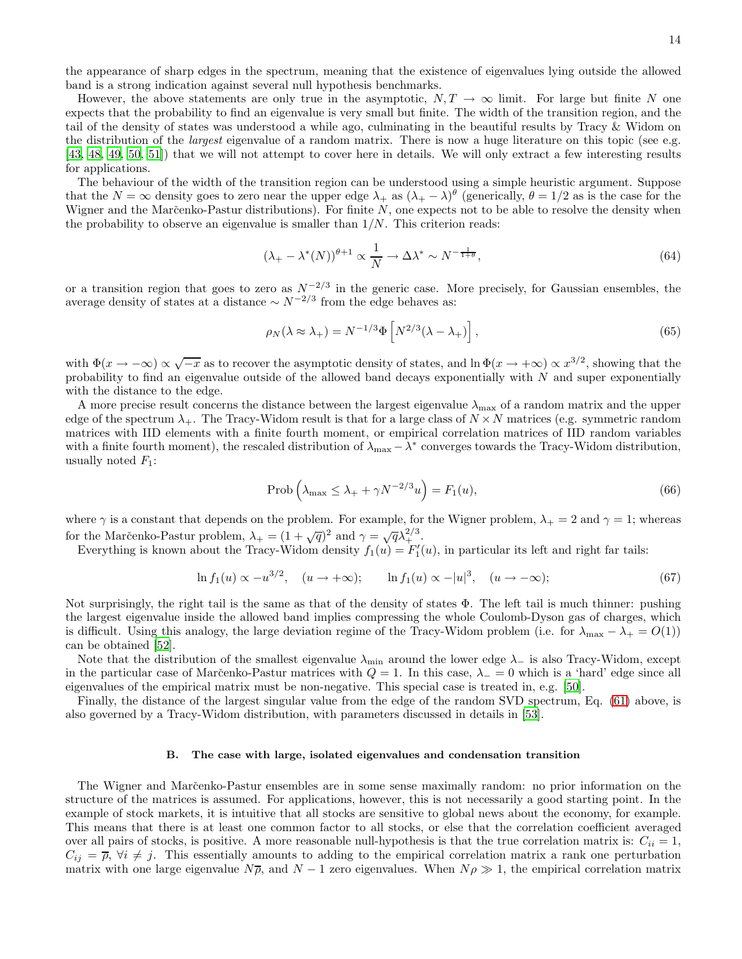the appearance of sharp edges in the spectrum, meaning that the existence of eigenvalues lying outside the allowed band is a strong indication against several null hypothesis benchmarks.

However, the above statements are only true in the asymptotic,  $N, T \to \infty$  limit. For large but finite N one expects that the probability to find an eigenvalue is very small but finite. The width of the transition region, and the tail of the density of states was understood a while ago, culminating in the beautiful results by Tracy & Widom on the distribution of the *largest* eigenvalue of a random matrix. There is now a huge literature on this topic (see e.g. [\[43,](#page-21-33) [48](#page-22-12), [49,](#page-22-7) [50](#page-22-13), [51\]](#page-22-14)) that we will not attempt to cover here in details. We will only extract a few interesting results for applications.

The behaviour of the width of the transition region can be understood using a simple heuristic argument. Suppose that the  $N = \infty$  density goes to zero near the upper edge  $\lambda_+$  as  $(\lambda_+ - \lambda)^\theta$  (generically,  $\theta = 1/2$  as is the case for the Wigner and the Marčenko-Pastur distributions). For finite  $N$ , one expects not to be able to resolve the density when the probability to observe an eigenvalue is smaller than  $1/N$ . This criterion reads:

$$
(\lambda_{+} - \lambda^{*}(N))^{\theta+1} \propto \frac{1}{N} \to \Delta \lambda^{*} \sim N^{-\frac{1}{1+\theta}},
$$
\n(64)

or a transition region that goes to zero as  $N^{-2/3}$  in the generic case. More precisely, for Gaussian ensembles, the average density of states at a distance  $\sim N^{-2/3}$  from the edge behaves as:

$$
\rho_N(\lambda \approx \lambda_+) = N^{-1/3} \Phi \left[ N^{2/3} (\lambda - \lambda_+) \right], \tag{65}
$$

with  $\Phi(x \to -\infty) \propto \sqrt{-x}$  as to recover the asymptotic density of states, and  $\ln \Phi(x \to +\infty) \propto x^{3/2}$ , showing that the probability to find an eigenvalue outside of the allowed band decays exponentially with  $N$  and super exponentially with the distance to the edge.

A more precise result concerns the distance between the largest eigenvalue  $\lambda_{\text{max}}$  of a random matrix and the upper edge of the spectrum  $\lambda_+$ . The Tracy-Widom result is that for a large class of  $N \times N$  matrices (e.g. symmetric random matrices with IID elements with a finite fourth moment, or empirical correlation matrices of IID random variables with a finite fourth moment), the rescaled distribution of  $\lambda_{\text{max}} - \lambda^*$  converges towards the Tracy-Widom distribution, usually noted  $F_1$ :

$$
\text{Prob}\left(\lambda_{\max} \le \lambda_+ + \gamma N^{-2/3} u\right) = F_1(u),\tag{66}
$$

where  $\gamma$  is a constant that depends on the problem. For example, for the Wigner problem,  $\lambda_+ = 2$  and  $\gamma = 1$ ; whereas for the Marčenko-Pastur problem,  $\lambda_+ = (1 + \sqrt{q})^2$  and  $\gamma = \sqrt{q} \lambda_+^{2/3}$ .

Everything is known about the Tracy-Widom density  $f_1(u) = F'_1(u)$ , in particular its left and right far tails:

$$
\ln f_1(u) \propto -u^{3/2}, \quad (u \to +\infty); \qquad \ln f_1(u) \propto -|u|^3, \quad (u \to -\infty); \tag{67}
$$

Not surprisingly, the right tail is the same as that of the density of states  $\Phi$ . The left tail is much thinner: pushing the largest eigenvalue inside the allowed band implies compressing the whole Coulomb-Dyson gas of charges, which is difficult. Using this analogy, the large deviation regime of the Tracy-Widom problem (i.e. for  $\lambda_{\text{max}} - \lambda_+ = O(1)$ ) can be obtained [\[52\]](#page-22-15).

Note that the distribution of the smallest eigenvalue  $\lambda_{\min}$  around the lower edge  $\lambda_{-}$  is also Tracy-Widom, except in the particular case of Marčenko-Pastur matrices with  $Q = 1$ . In this case,  $\lambda = 0$  which is a 'hard' edge since all eigenvalues of the empirical matrix must be non-negative. This special case is treated in, e.g. [\[50\]](#page-22-13).

Finally, the distance of the largest singular value from the edge of the random SVD spectrum, Eq. [\(61\)](#page-11-0) above, is also governed by a Tracy-Widom distribution, with parameters discussed in details in [\[53\]](#page-22-16).

### B. The case with large, isolated eigenvalues and condensation transition

The Wigner and Marc̆enko-Pastur ensembles are in some sense maximally random: no prior information on the structure of the matrices is assumed. For applications, however, this is not necessarily a good starting point. In the example of stock markets, it is intuitive that all stocks are sensitive to global news about the economy, for example. This means that there is at least one common factor to all stocks, or else that the correlation coefficient averaged over all pairs of stocks, is positive. A more reasonable null-hypothesis is that the true correlation matrix is:  $C_{ii} = 1$ ,  $C_{ij} = \overline{\rho}, \forall i \neq j$ . This essentially amounts to adding to the empirical correlation matrix a rank one perturbation matrix with one large eigenvalue  $N\overline{\rho}$ , and  $N-1$  zero eigenvalues. When  $N\rho \gg 1$ , the empirical correlation matrix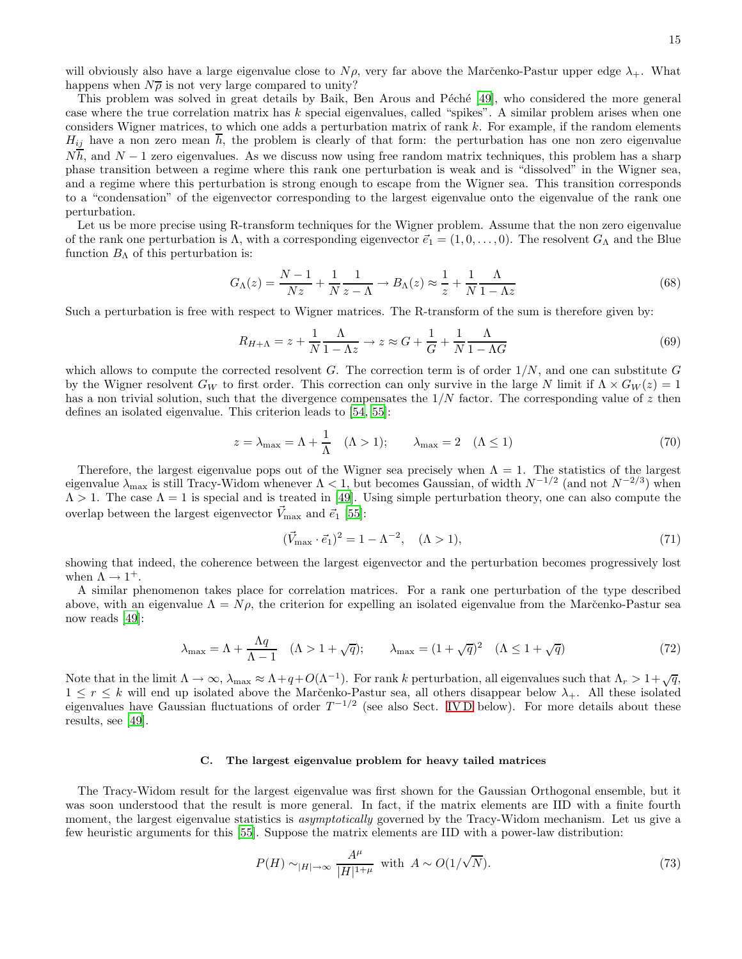will obviously also have a large eigenvalue close to  $N\rho$ , very far above the Marčenko-Pastur upper edge  $\lambda_+$ . What happens when  $N\bar{\rho}$  is not very large compared to unity?

This problem was solved in great details by Baik, Ben Arous and Péché [\[49\]](#page-22-7), who considered the more general case where the true correlation matrix has  $k$  special eigenvalues, called "spikes". A similar problem arises when one considers Wigner matrices, to which one adds a perturbation matrix of rank  $k$ . For example, if the random elements  $H_{ij}$  have a non zero mean  $\overline{h}$ , the problem is clearly of that form: the perturbation has one non zero eigenvalue  $N\overline{h}$ , and  $N-1$  zero eigenvalues. As we discuss now using free random matrix techniques, this problem has a sharp phase transition between a regime where this rank one perturbation is weak and is "dissolved" in the Wigner sea, and a regime where this perturbation is strong enough to escape from the Wigner sea. This transition corresponds to a "condensation" of the eigenvector corresponding to the largest eigenvalue onto the eigenvalue of the rank one perturbation.

Let us be more precise using R-transform techniques for the Wigner problem. Assume that the non zero eigenvalue of the rank one perturbation is  $\Lambda$ , with a corresponding eigenvector  $\vec{e}_1 = (1, 0, \ldots, 0)$ . The resolvent  $G_{\Lambda}$  and the Blue function  $B_{\Lambda}$  of this perturbation is:

$$
G_{\Lambda}(z) = \frac{N-1}{Nz} + \frac{1}{N} \frac{1}{z - \Lambda} \to B_{\Lambda}(z) \approx \frac{1}{z} + \frac{1}{N} \frac{\Lambda}{1 - \Lambda z}
$$
(68)

Such a perturbation is free with respect to Wigner matrices. The R-transform of the sum is therefore given by:

$$
R_{H+\Lambda} = z + \frac{1}{N} \frac{\Lambda}{1 - \Lambda z} \to z \approx G + \frac{1}{G} + \frac{1}{N} \frac{\Lambda}{1 - \Lambda G}
$$
(69)

which allows to compute the corrected resolvent G. The correction term is of order  $1/N$ , and one can substitute G by the Wigner resolvent  $G_W$  to first order. This correction can only survive in the large N limit if  $\Lambda \times G_W(z) = 1$ has a non trivial solution, such that the divergence compensates the  $1/N$  factor. The corresponding value of z then defines an isolated eigenvalue. This criterion leads to [\[54](#page-22-17), [55](#page-22-18)]:

$$
z = \lambda_{\text{max}} = \Lambda + \frac{1}{\Lambda} \quad (\Lambda > 1); \qquad \lambda_{\text{max}} = 2 \quad (\Lambda \le 1)
$$
 (70)

Therefore, the largest eigenvalue pops out of the Wigner sea precisely when  $\Lambda = 1$ . The statistics of the largest eigenvalue  $\lambda_{\max}$  is still Tracy-Widom whenever  $\Lambda < 1$ , but becomes Gaussian, of width  $N^{-1/2}$  (and not  $N^{-2/3}$ ) when  $\Lambda > 1$ . The case  $\Lambda = 1$  is special and is treated in [\[49](#page-22-7)]. Using simple perturbation theory, one can also compute the overlap between the largest eigenvector  $V_{\text{max}}$  and  $\vec{e}_1$  [\[55](#page-22-18)]:

$$
(\vec{V}_{\text{max}} \cdot \vec{e}_1)^2 = 1 - \Lambda^{-2}, \quad (\Lambda > 1), \tag{71}
$$

showing that indeed, the coherence between the largest eigenvector and the perturbation becomes progressively lost when  $\Lambda \rightarrow 1^+$ .

A similar phenomenon takes place for correlation matrices. For a rank one perturbation of the type described above, with an eigenvalue  $\Lambda = N\rho$ , the criterion for expelling an isolated eigenvalue from the Marčenko-Pastur sea now reads [\[49\]](#page-22-7):

$$
\lambda_{\max} = \Lambda + \frac{\Lambda q}{\Lambda - 1} \quad (\Lambda > 1 + \sqrt{q}); \qquad \lambda_{\max} = (1 + \sqrt{q})^2 \quad (\Lambda \le 1 + \sqrt{q}) \tag{72}
$$

Note that in the limit  $\Lambda \to \infty$ ,  $\lambda_{\text{max}} \approx \Lambda + q + O(\Lambda^{-1})$ . For rank k perturbation, all eigenvalues such that  $\Lambda_r > 1 + \sqrt{q}$ ,  $1 \leq r \leq k$  will end up isolated above the Marc̆enko-Pastur sea, all others disappear below  $\lambda_+$ . All these isolated eigenvalues have Gaussian fluctuations of order  $T^{-1/2}$  (see also Sect. IVD below). For more details about these results, see [\[49](#page-22-7)].

## C. The largest eigenvalue problem for heavy tailed matrices

The Tracy-Widom result for the largest eigenvalue was first shown for the Gaussian Orthogonal ensemble, but it was soon understood that the result is more general. In fact, if the matrix elements are IID with a finite fourth moment, the largest eigenvalue statistics is *asymptotically* governed by the Tracy-Widom mechanism. Let us give a few heuristic arguments for this [\[55\]](#page-22-18). Suppose the matrix elements are IID with a power-law distribution:

$$
P(H) \sim_{|H| \to \infty} \frac{A^{\mu}}{|H|^{1+\mu}} \text{ with } A \sim O(1/\sqrt{N}).
$$
\n
$$
(73)
$$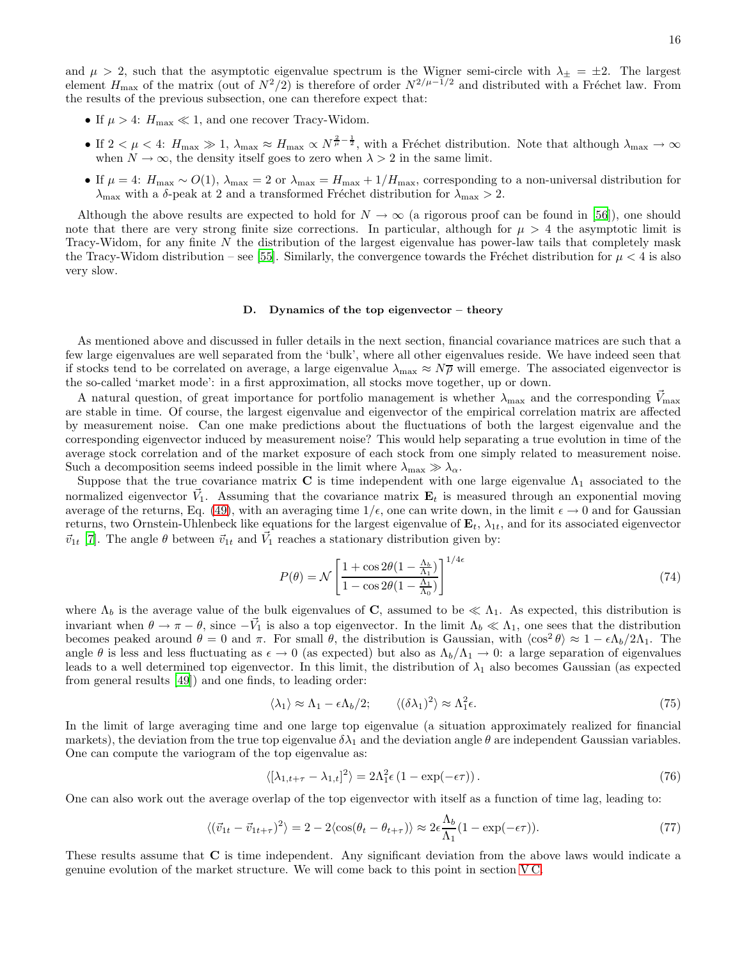and  $\mu > 2$ , such that the asymptotic eigenvalue spectrum is the Wigner semi-circle with  $\lambda_{\pm} = \pm 2$ . The largest element  $H_{\text{max}}$  of the matrix (out of  $N^2/2$ ) is therefore of order  $N^{2/\mu-1/2}$  and distributed with a Fréchet law. From the results of the previous subsection, one can therefore expect that:

- If  $\mu > 4$ :  $H_{\text{max}} \ll 1$ , and one recover Tracy-Widom.
- If  $2 < \mu < 4$ :  $H_{\text{max}} \gg 1$ ,  $\lambda_{\text{max}} \approx H_{\text{max}} \propto N^{\frac{2}{\mu} \frac{1}{2}}$ , with a Fréchet distribution. Note that although  $\lambda_{\text{max}} \to \infty$ when  $N \to \infty$ , the density itself goes to zero when  $\lambda > 2$  in the same limit.
- If  $\mu = 4$ :  $H_{\text{max}} \sim O(1)$ ,  $\lambda_{\text{max}} = 2$  or  $\lambda_{\text{max}} = H_{\text{max}} + 1/H_{\text{max}}$ , corresponding to a non-universal distribution for  $\lambda_{\text{max}}$  with a δ-peak at 2 and a transformed Fréchet distribution for  $\lambda_{\text{max}} > 2$ .

Although the above results are expected to hold for  $N \to \infty$  (a rigorous proof can be found in [\[56\]](#page-22-19)), one should note that there are very strong finite size corrections. In particular, although for  $\mu > 4$  the asymptotic limit is Tracy-Widom, for any finite N the distribution of the largest eigenvalue has power-law tails that completely mask the Tracy-Widom distribution – see [\[55\]](#page-22-18). Similarly, the convergence towards the Fréchet distribution for  $\mu < 4$  is also very slow.

## <span id="page-15-0"></span>D. Dynamics of the top eigenvector – theory

As mentioned above and discussed in fuller details in the next section, financial covariance matrices are such that a few large eigenvalues are well separated from the 'bulk', where all other eigenvalues reside. We have indeed seen that if stocks tend to be correlated on average, a large eigenvalue  $\lambda_{\text{max}} \approx N\overline{\rho}$  will emerge. The associated eigenvector is the so-called 'market mode': in a first approximation, all stocks move together, up or down.

A natural question, of great importance for portfolio management is whether  $\lambda_{\text{max}}$  and the corresponding  $\dot{V}_{\text{max}}$ are stable in time. Of course, the largest eigenvalue and eigenvector of the empirical correlation matrix are affected by measurement noise. Can one make predictions about the fluctuations of both the largest eigenvalue and the corresponding eigenvector induced by measurement noise? This would help separating a true evolution in time of the average stock correlation and of the market exposure of each stock from one simply related to measurement noise. Such a decomposition seems indeed possible in the limit where  $\lambda_{\text{max}} \gg \lambda_{\alpha}$ .

Suppose that the true covariance matrix C is time independent with one large eigenvalue  $\Lambda_1$  associated to the normalized eigenvector  $\vec{V}_1$ . Assuming that the covariance matrix  $\mathbf{E}_t$  is measured through an exponential moving average of the returns, Eq. [\(49\)](#page-9-0), with an averaging time  $1/\epsilon$ , one can write down, in the limit  $\epsilon \to 0$  and for Gaussian returns, two Ornstein-Uhlenbeck like equations for the largest eigenvalue of  $\mathbf{E}_t$ ,  $\lambda_{1t}$ , and for its associated eigenvector  $\vec{v}_{1t}$  [\[7](#page-21-6)]. The angle  $\theta$  between  $\vec{v}_{1t}$  and  $\vec{V}_1$  reaches a stationary distribution given by:

$$
P(\theta) = \mathcal{N} \left[ \frac{1 + \cos 2\theta (1 - \frac{\Lambda_b}{\Lambda_1})}{1 - \cos 2\theta (1 - \frac{\Lambda_1}{\Lambda_0})} \right]^{1/4\epsilon} \tag{74}
$$

where  $\Lambda_b$  is the average value of the bulk eigenvalues of C, assumed to be  $\ll \Lambda_1$ . As expected, this distribution is invariant when  $\theta \to \pi - \theta$ , since  $-\vec{V}_1$  is also a top eigenvector. In the limit  $\Lambda_b \ll \Lambda_1$ , one sees that the distribution becomes peaked around  $\theta = 0$  and  $\pi$ . For small  $\theta$ , the distribution is Gaussian, with  $\langle \cos^2 \theta \rangle \approx 1 - \epsilon \Lambda_b / 2\Lambda_1$ . The angle  $\theta$  is less and less fluctuating as  $\epsilon \to 0$  (as expected) but also as  $\Lambda_b/\Lambda_1 \to 0$ : a large separation of eigenvalues leads to a well determined top eigenvector. In this limit, the distribution of  $\lambda_1$  also becomes Gaussian (as expected from general results [\[49](#page-22-7)]) and one finds, to leading order:

$$
\langle \lambda_1 \rangle \approx \Lambda_1 - \epsilon \Lambda_b / 2; \qquad \langle (\delta \lambda_1)^2 \rangle \approx \Lambda_1^2 \epsilon. \tag{75}
$$

In the limit of large averaging time and one large top eigenvalue (a situation approximately realized for financial markets), the deviation from the true top eigenvalue  $\delta \lambda_1$  and the deviation angle  $\theta$  are independent Gaussian variables. One can compute the variogram of the top eigenvalue as:

<span id="page-15-2"></span>
$$
\langle [\lambda_{1,t+\tau} - \lambda_{1,t}]^2 \rangle = 2\Lambda_1^2 \epsilon \left(1 - \exp(-\epsilon \tau)\right). \tag{76}
$$

One can also work out the average overlap of the top eigenvector with itself as a function of time lag, leading to:

<span id="page-15-1"></span>
$$
\langle (\vec{v}_{1t} - \vec{v}_{1t+\tau})^2 \rangle = 2 - 2 \langle \cos(\theta_t - \theta_{t+\tau}) \rangle \approx 2\epsilon \frac{\Lambda_b}{\Lambda_1} (1 - \exp(-\epsilon \tau)). \tag{77}
$$

These results assume that C is time independent. Any significant deviation from the above laws would indicate a genuine evolution of the market structure. We will come back to this point in section [V C.](#page-18-0)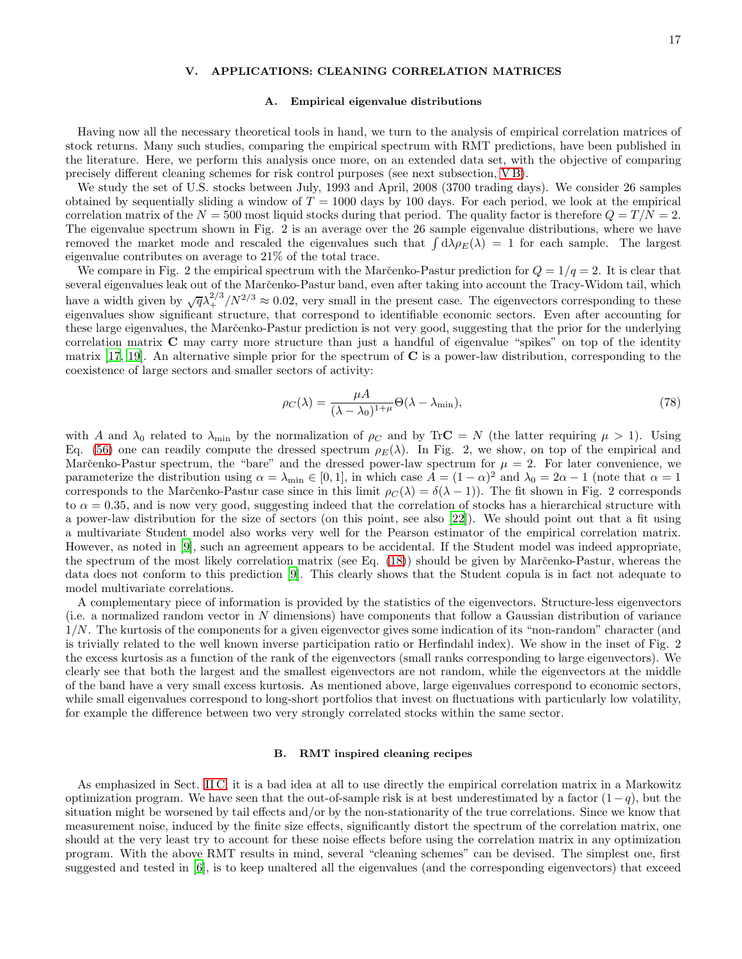## V. APPLICATIONS: CLEANING CORRELATION MATRICES

### A. Empirical eigenvalue distributions

Having now all the necessary theoretical tools in hand, we turn to the analysis of empirical correlation matrices of stock returns. Many such studies, comparing the empirical spectrum with RMT predictions, have been published in the literature. Here, we perform this analysis once more, on an extended data set, with the objective of comparing precisely different cleaning schemes for risk control purposes (see next subsection, [V B\)](#page-16-0).

We study the set of U.S. stocks between July, 1993 and April, 2008 (3700 trading days). We consider 26 samples obtained by sequentially sliding a window of  $T = 1000$  days by 100 days. For each period, we look at the empirical correlation matrix of the  $N = 500$  most liquid stocks during that period. The quality factor is therefore  $Q = T/N = 2$ . The eigenvalue spectrum shown in Fig. 2 is an average over the 26 sample eigenvalue distributions, where we have removed the market mode and rescaled the eigenvalues such that  $\int d\lambda \rho_E(\lambda) = 1$  for each sample. The largest eigenvalue contributes on average to 21% of the total trace.

We compare in Fig. 2 the empirical spectrum with the Marc̆enko-Pastur prediction for  $Q = 1/q = 2$ . It is clear that several eigenvalues leak out of the Marc̆enko-Pastur band, even after taking into account the Tracy-Widom tail, which have a width given by  $\sqrt{q}\lambda_+^{2/3}/N^{2/3} \approx 0.02$ , very small in the present case. The eigenvectors corresponding to these eigenvalues show significant structure, that correspond to identifiable economic sectors. Even after accounting for these large eigenvalues, the Marc̆enko-Pastur prediction is not very good, suggesting that the prior for the underlying correlation matrix C may carry more structure than just a handful of eigenvalue "spikes" on top of the identity matrix  $[17, 19]$  $[17, 19]$ . An alternative simple prior for the spectrum of C is a power-law distribution, corresponding to the coexistence of large sectors and smaller sectors of activity:

<span id="page-16-1"></span>
$$
\rho_C(\lambda) = \frac{\mu A}{(\lambda - \lambda_0)^{1 + \mu}} \Theta(\lambda - \lambda_{\min}),\tag{78}
$$

with A and  $\lambda_0$  related to  $\lambda_{\min}$  by the normalization of  $\rho_C$  and by TrC = N (the latter requiring  $\mu > 1$ ). Using Eq. [\(56\)](#page-10-1) one can readily compute the dressed spectrum  $\rho_E(\lambda)$ . In Fig. 2, we show, on top of the empirical and Marčenko-Pastur spectrum, the "bare" and the dressed power-law spectrum for  $\mu = 2$ . For later convenience, we parameterize the distribution using  $\alpha = \lambda_{\min} \in [0, 1]$ , in which case  $A = (1 - \alpha)^2$  and  $\lambda_0 = 2\alpha - 1$  (note that  $\alpha = 1$ ) corresponds to the Marc̆enko-Pastur case since in this limit  $\rho_C(\lambda) = \delta(\lambda - 1)$ . The fit shown in Fig. 2 corresponds to  $\alpha = 0.35$ , and is now very good, suggesting indeed that the correlation of stocks has a hierarchical structure with a power-law distribution for the size of sectors (on this point, see also [\[22](#page-21-21)]). We should point out that a fit using a multivariate Student model also works very well for the Pearson estimator of the empirical correlation matrix. However, as noted in [\[9\]](#page-21-8), such an agreement appears to be accidental. If the Student model was indeed appropriate, the spectrum of the most likely correlation matrix (see Eq. [\(18\)](#page-3-0)) should be given by Marčenko-Pastur, whereas the data does not conform to this prediction [\[9\]](#page-21-8). This clearly shows that the Student copula is in fact not adequate to model multivariate correlations.

A complementary piece of information is provided by the statistics of the eigenvectors. Structure-less eigenvectors (i.e. a normalized random vector in N dimensions) have components that follow a Gaussian distribution of variance 1/N. The kurtosis of the components for a given eigenvector gives some indication of its "non-random" character (and is trivially related to the well known inverse participation ratio or Herfindahl index). We show in the inset of Fig. 2 the excess kurtosis as a function of the rank of the eigenvectors (small ranks corresponding to large eigenvectors). We clearly see that both the largest and the smallest eigenvectors are not random, while the eigenvectors at the middle of the band have a very small excess kurtosis. As mentioned above, large eigenvalues correspond to economic sectors, while small eigenvalues correspond to long-short portfolios that invest on fluctuations with particularly low volatility, for example the difference between two very strongly correlated stocks within the same sector.

### <span id="page-16-0"></span>B. RMT inspired cleaning recipes

As emphasized in Sect. [II C,](#page-4-1) it is a bad idea at all to use directly the empirical correlation matrix in a Markowitz optimization program. We have seen that the out-of-sample risk is at best underestimated by a factor  $(1-q)$ , but the situation might be worsened by tail effects and/or by the non-stationarity of the true correlations. Since we know that measurement noise, induced by the finite size effects, significantly distort the spectrum of the correlation matrix, one should at the very least try to account for these noise effects before using the correlation matrix in any optimization program. With the above RMT results in mind, several "cleaning schemes" can be devised. The simplest one, first suggested and tested in [\[6](#page-21-5)], is to keep unaltered all the eigenvalues (and the corresponding eigenvectors) that exceed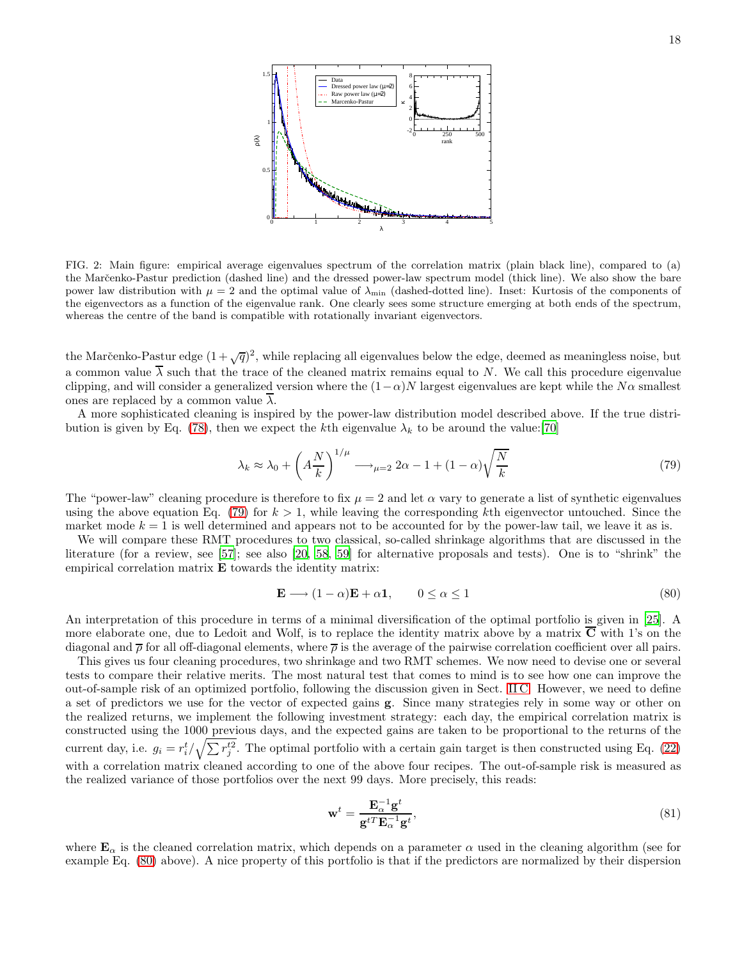

FIG. 2: Main figure: empirical average eigenvalues spectrum of the correlation matrix (plain black line), compared to (a) the Marcenko-Pastur prediction (dashed line) and the dressed power-law spectrum model (thick line). We also show the bare power law distribution with  $\mu = 2$  and the optimal value of  $\lambda_{\min}$  (dashed-dotted line). Inset: Kurtosis of the components of the eigenvectors as a function of the eigenvalue rank. One clearly sees some structure emerging at both ends of the spectrum, whereas the centre of the band is compatible with rotationally invariant eigenvectors.

the Marčenko-Pastur edge  $(1+\sqrt{q})^2$ , while replacing all eigenvalues below the edge, deemed as meaningless noise, but a common value  $\overline{\lambda}$  such that the trace of the cleaned matrix remains equal to N. We call this procedure eigenvalue clipping, and will consider a generalized version where the  $(1-\alpha)N$  largest eigenvalues are kept while the  $N\alpha$  smallest ones are replaced by a common value  $\overline{\lambda}$ .

A more sophisticated cleaning is inspired by the power-law distribution model described above. If the true distri-bution is given by Eq. [\(78\)](#page-16-1), then we expect the kth eigenvalue  $\lambda_k$  to be around the value:[\[70](#page-22-20)]

<span id="page-17-0"></span>
$$
\lambda_k \approx \lambda_0 + \left(A \frac{N}{k}\right)^{1/\mu} \longrightarrow_{\mu=2} 2\alpha - 1 + (1 - \alpha) \sqrt{\frac{N}{k}}
$$
\n(79)

The "power-law" cleaning procedure is therefore to fix  $\mu = 2$  and let  $\alpha$  vary to generate a list of synthetic eigenvalues using the above equation Eq. [\(79\)](#page-17-0) for  $k > 1$ , while leaving the corresponding kth eigenvector untouched. Since the market mode  $k = 1$  is well determined and appears not to be accounted for by the power-law tail, we leave it as is.

We will compare these RMT procedures to two classical, so-called shrinkage algorithms that are discussed in the literature (for a review, see [\[57\]](#page-22-21); see also [\[20,](#page-21-19) [58,](#page-22-0) [59](#page-22-22)] for alternative proposals and tests). One is to "shrink" the empirical correlation matrix E towards the identity matrix:

<span id="page-17-1"></span>
$$
\mathbf{E} \longrightarrow (1 - \alpha)\mathbf{E} + \alpha \mathbf{1}, \qquad 0 \le \alpha \le 1 \tag{80}
$$

An interpretation of this procedure in terms of a minimal diversification of the optimal portfolio is given in [\[25\]](#page-21-24). A more elaborate one, due to Ledoit and Wolf, is to replace the identity matrix above by a matrix  $\overline{C}$  with 1's on the diagonal and  $\bar{\rho}$  for all off-diagonal elements, where  $\bar{\rho}$  is the average of the pairwise correlation coefficient over all pairs.

This gives us four cleaning procedures, two shrinkage and two RMT schemes. We now need to devise one or several tests to compare their relative merits. The most natural test that comes to mind is to see how one can improve the out-of-sample risk of an optimized portfolio, following the discussion given in Sect. [II C.](#page-4-1) However, we need to define a set of predictors we use for the vector of expected gains g. Since many strategies rely in some way or other on the realized returns, we implement the following investment strategy: each day, the empirical correlation matrix is constructed using the 1000 previous days, and the expected gains are taken to be proportional to the returns of the current day, i.e.  $g_i = r_i^t / \sqrt{\sum r_j^{t2}}$ . The optimal portfolio with a certain gain target is then constructed using Eq. [\(22\)](#page-4-0) with a correlation matrix cleaned according to one of the above four recipes. The out-of-sample risk is measured as the realized variance of those portfolios over the next 99 days. More precisely, this reads:

$$
\mathbf{w}^{t} = \frac{\mathbf{E}_{\alpha}^{-1} \mathbf{g}^{t}}{\mathbf{g}^{t} \mathbf{E}_{\alpha}^{-1} \mathbf{g}^{t}},\tag{81}
$$

where  $\mathbf{E}_{\alpha}$  is the cleaned correlation matrix, which depends on a parameter  $\alpha$  used in the cleaning algorithm (see for example Eq. [\(80\)](#page-17-1) above). A nice property of this portfolio is that if the predictors are normalized by their dispersion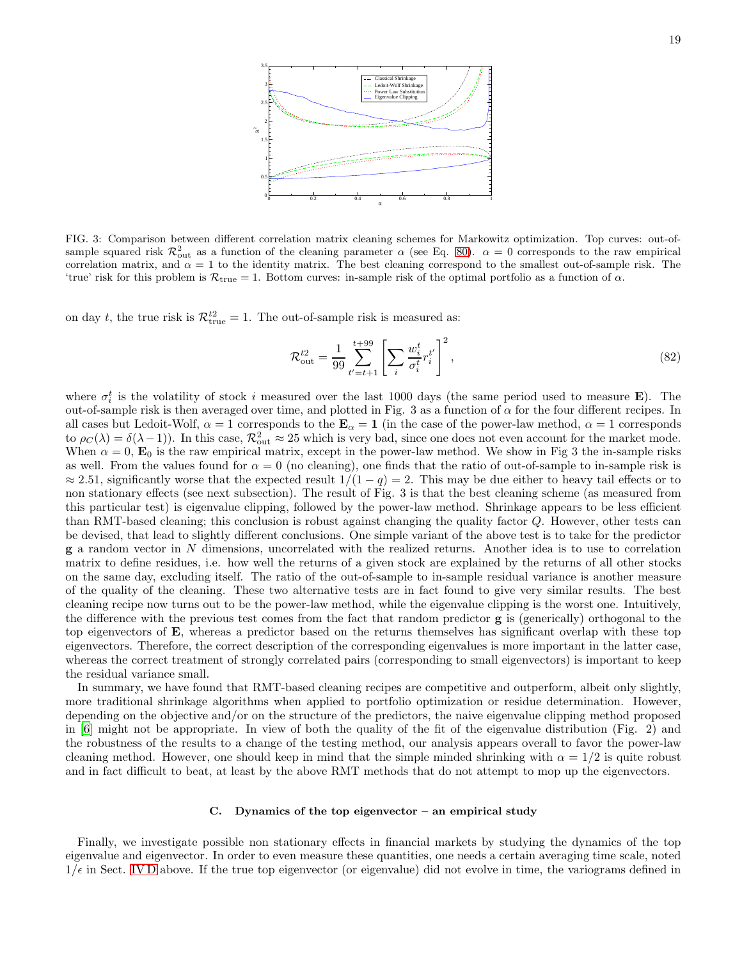

FIG. 3: Comparison between different correlation matrix cleaning schemes for Markowitz optimization. Top curves: out-ofsample squared risk  $\mathcal{R}_{out}^2$  as a function of the cleaning parameter  $\alpha$  (see Eq. [80\)](#page-17-1).  $\alpha = 0$  corresponds to the raw empirical correlation matrix, and  $\alpha = 1$  to the identity matrix. The best cleaning correspond to the smallest out-of-sample risk. The 'true' risk for this problem is  $\mathcal{R}_{true} = 1$ . Bottom curves: in-sample risk of the optimal portfolio as a function of  $\alpha$ .

on day t, the true risk is  $\mathcal{R}_{true}^{t2} = 1$ . The out-of-sample risk is measured as:

$$
\mathcal{R}_{\text{out}}^{t2} = \frac{1}{99} \sum_{t'=t+1}^{t+99} \left[ \sum_{i} \frac{w_i^t}{\sigma_i^t} r_i^{t'} \right]^2,\tag{82}
$$

where  $\sigma_i^t$  is the volatility of stock i measured over the last 1000 days (the same period used to measure **E**). The out-of-sample risk is then averaged over time, and plotted in Fig. 3 as a function of  $\alpha$  for the four different recipes. In all cases but Ledoit-Wolf,  $\alpha = 1$  corresponds to the  $\mathbf{E}_{\alpha} = 1$  (in the case of the power-law method,  $\alpha = 1$  corresponds to  $\rho_C(\lambda) = \delta(\lambda - 1)$ . In this case,  $\mathcal{R}_{out}^2 \approx 25$  which is very bad, since one does not even account for the market mode. When  $\alpha = 0$ ,  $\mathbf{E}_0$  is the raw empirical matrix, except in the power-law method. We show in Fig 3 the in-sample risks as well. From the values found for  $\alpha = 0$  (no cleaning), one finds that the ratio of out-of-sample to in-sample risk is  $\approx 2.51$ , significantly worse that the expected result  $1/(1-q) = 2$ . This may be due either to heavy tail effects or to non stationary effects (see next subsection). The result of Fig. 3 is that the best cleaning scheme (as measured from this particular test) is eigenvalue clipping, followed by the power-law method. Shrinkage appears to be less efficient than RMT-based cleaning; this conclusion is robust against changing the quality factor Q. However, other tests can be devised, that lead to slightly different conclusions. One simple variant of the above test is to take for the predictor g a random vector in N dimensions, uncorrelated with the realized returns. Another idea is to use to correlation matrix to define residues, i.e. how well the returns of a given stock are explained by the returns of all other stocks on the same day, excluding itself. The ratio of the out-of-sample to in-sample residual variance is another measure of the quality of the cleaning. These two alternative tests are in fact found to give very similar results. The best cleaning recipe now turns out to be the power-law method, while the eigenvalue clipping is the worst one. Intuitively, the difference with the previous test comes from the fact that random predictor g is (generically) orthogonal to the top eigenvectors of E, whereas a predictor based on the returns themselves has significant overlap with these top eigenvectors. Therefore, the correct description of the corresponding eigenvalues is more important in the latter case, whereas the correct treatment of strongly correlated pairs (corresponding to small eigenvectors) is important to keep the residual variance small.

In summary, we have found that RMT-based cleaning recipes are competitive and outperform, albeit only slightly, more traditional shrinkage algorithms when applied to portfolio optimization or residue determination. However, depending on the objective and/or on the structure of the predictors, the naive eigenvalue clipping method proposed in [\[6](#page-21-5)] might not be appropriate. In view of both the quality of the fit of the eigenvalue distribution (Fig. 2) and the robustness of the results to a change of the testing method, our analysis appears overall to favor the power-law cleaning method. However, one should keep in mind that the simple minded shrinking with  $\alpha = 1/2$  is quite robust and in fact difficult to beat, at least by the above RMT methods that do not attempt to mop up the eigenvectors.

### <span id="page-18-0"></span>C. Dynamics of the top eigenvector – an empirical study

Finally, we investigate possible non stationary effects in financial markets by studying the dynamics of the top eigenvalue and eigenvector. In order to even measure these quantities, one needs a certain averaging time scale, noted  $1/\epsilon$  in Sect. [IV D](#page-15-0) above. If the true top eigenvector (or eigenvalue) did not evolve in time, the variograms defined in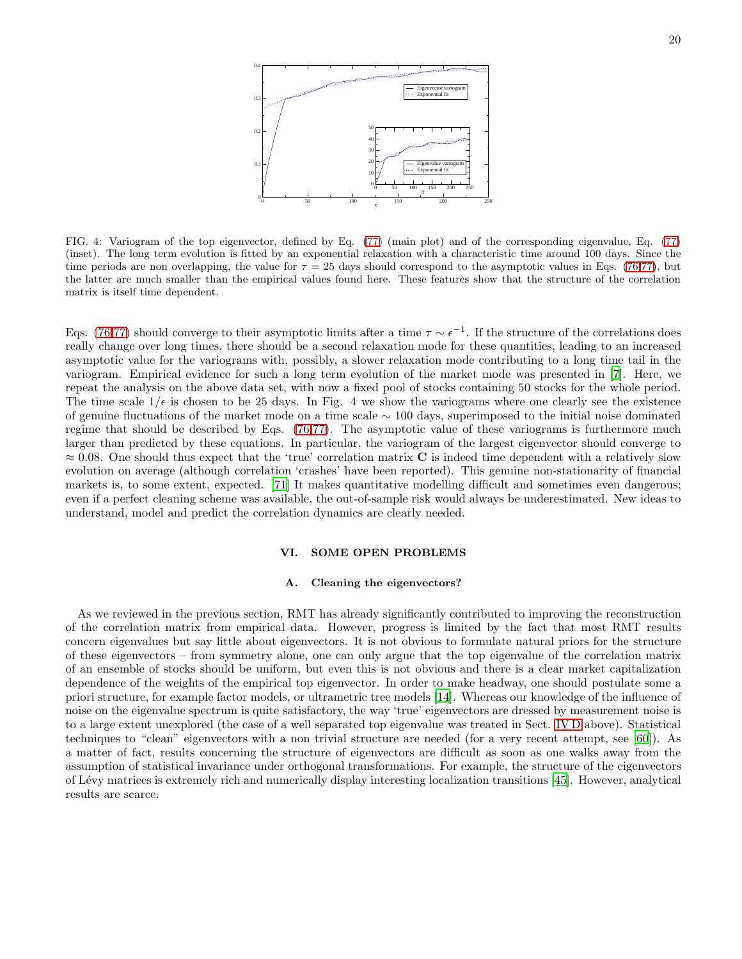

FIG. 4: Variogram of the top eigenvector, defined by Eq. [\(77\)](#page-15-1) (main plot) and of the corresponding eigenvalue, Eq. [\(77\)](#page-15-1) (inset). The long term evolution is fitted by an exponential relaxation with a characteristic time around 100 days. Since the time periods are non overlapping, the value for  $\tau = 25$  days should correspond to the asymptotic values in Eqs. [\(76](#page-15-2)[,77\)](#page-15-1), but the latter are much smaller than the empirical values found here. These features show that the structure of the correlation matrix is itself time dependent.

Eqs. [\(76,](#page-15-2)[77\)](#page-15-1) should converge to their asymptotic limits after a time  $\tau \sim \epsilon^{-1}$ . If the structure of the correlations does really change over long times, there should be a second relaxation mode for these quantities, leading to an increased asymptotic value for the variograms with, possibly, a slower relaxation mode contributing to a long time tail in the variogram. Empirical evidence for such a long term evolution of the market mode was presented in [\[7](#page-21-6)]. Here, we repeat the analysis on the above data set, with now a fixed pool of stocks containing 50 stocks for the whole period. The time scale  $1/\epsilon$  is chosen to be 25 days. In Fig. 4 we show the variograms where one clearly see the existence of genuine fluctuations of the market mode on a time scale ∼ 100 days, superimposed to the initial noise dominated regime that should be described by Eqs. [\(76](#page-15-2)[,77\)](#page-15-1). The asymptotic value of these variograms is furthermore much larger than predicted by these equations. In particular, the variogram of the largest eigenvector should converge to  $\approx 0.08$ . One should thus expect that the 'true' correlation matrix C is indeed time dependent with a relatively slow evolution on average (although correlation 'crashes' have been reported). This genuine non-stationarity of financial markets is, to some extent, expected. [\[71\]](#page-22-23) It makes quantitative modelling difficult and sometimes even dangerous; even if a perfect cleaning scheme was available, the out-of-sample risk would always be underestimated. New ideas to understand, model and predict the correlation dynamics are clearly needed.

## VI. SOME OPEN PROBLEMS

## A. Cleaning the eigenvectors?

As we reviewed in the previous section, RMT has already significantly contributed to improving the reconstruction of the correlation matrix from empirical data. However, progress is limited by the fact that most RMT results concern eigenvalues but say little about eigenvectors. It is not obvious to formulate natural priors for the structure of these eigenvectors – from symmetry alone, one can only argue that the top eigenvalue of the correlation matrix of an ensemble of stocks should be uniform, but even this is not obvious and there is a clear market capitalization dependence of the weights of the empirical top eigenvector. In order to make headway, one should postulate some a priori structure, for example factor models, or ultrametric tree models [\[14\]](#page-21-13). Whereas our knowledge of the influence of noise on the eigenvalue spectrum is quite satisfactory, the way 'true' eigenvectors are dressed by measurement noise is to a large extent unexplored (the case of a well separated top eigenvalue was treated in Sect. [IV D](#page-15-0) above). Statistical techniques to "clean" eigenvectors with a non trivial structure are needed (for a very recent attempt, see [\[60\]](#page-22-24)). As a matter of fact, results concerning the structure of eigenvectors are difficult as soon as one walks away from the assumption of statistical invariance under orthogonal transformations. For example, the structure of the eigenvectors of L´evy matrices is extremely rich and numerically display interesting localization transitions [\[45\]](#page-22-9). However, analytical results are scarce.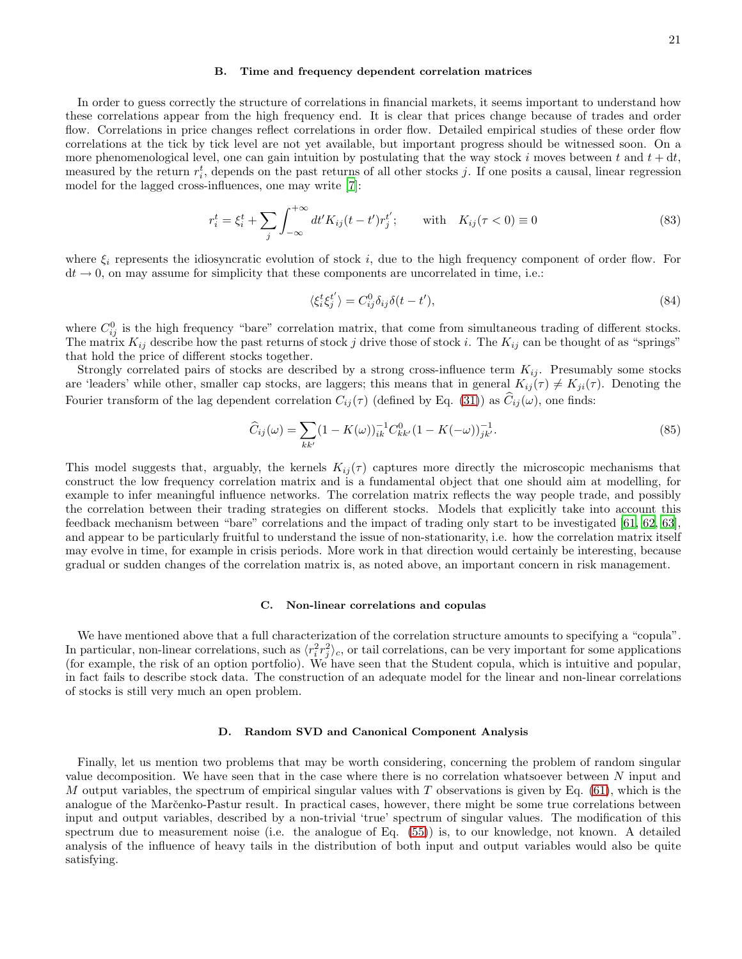### B. Time and frequency dependent correlation matrices

In order to guess correctly the structure of correlations in financial markets, it seems important to understand how these correlations appear from the high frequency end. It is clear that prices change because of trades and order flow. Correlations in price changes reflect correlations in order flow. Detailed empirical studies of these order flow correlations at the tick by tick level are not yet available, but important progress should be witnessed soon. On a more phenomenological level, one can gain intuition by postulating that the way stock i moves between t and  $t + dt$ , measured by the return  $r_i^t$ , depends on the past returns of all other stocks j. If one posits a causal, linear regression model for the lagged cross-influences, one may write [\[7\]](#page-21-6):

$$
r_i^t = \xi_i^t + \sum_j \int_{-\infty}^{+\infty} dt' K_{ij}(t - t') r_j^{t'}; \quad \text{with} \quad K_{ij}(\tau < 0) \equiv 0 \tag{83}
$$

where  $\xi_i$  represents the idiosyncratic evolution of stock i, due to the high frequency component of order flow. For  $dt \rightarrow 0$ , on may assume for simplicity that these components are uncorrelated in time, i.e.:

$$
\langle \xi_i^t \xi_j^{t'} \rangle = C_{ij}^0 \delta_{ij} \delta(t - t'),\tag{84}
$$

where  $C_{ij}^0$  is the high frequency "bare" correlation matrix, that come from simultaneous trading of different stocks. The matrix  $K_{ij}$  describe how the past returns of stock j drive those of stock i. The  $K_{ij}$  can be thought of as "springs" that hold the price of different stocks together.

Strongly correlated pairs of stocks are described by a strong cross-influence term  $K_{ij}$ . Presumably some stocks are 'leaders' while other, smaller cap stocks, are laggers; this means that in general  $K_{ij}(\tau) \neq K_{ji}(\tau)$ . Denoting the Fourier transform of the lag dependent correlation  $C_{ij}(\tau)$  (defined by Eq. [\(31\)](#page-6-2)) as  $\hat{C}_{ij}(\omega)$ , one finds:

$$
\widehat{C}_{ij}(\omega) = \sum_{kk'} (1 - K(\omega))_{ik}^{-1} C_{kk'}^0 (1 - K(-\omega))_{jk'}^{-1}.
$$
\n(85)

This model suggests that, arguably, the kernels  $K_{ij}(\tau)$  captures more directly the microscopic mechanisms that construct the low frequency correlation matrix and is a fundamental object that one should aim at modelling, for example to infer meaningful influence networks. The correlation matrix reflects the way people trade, and possibly the correlation between their trading strategies on different stocks. Models that explicitly take into account this feedback mechanism between "bare" correlations and the impact of trading only start to be investigated [\[61,](#page-22-25) [62,](#page-22-26) [63\]](#page-22-27), and appear to be particularly fruitful to understand the issue of non-stationarity, i.e. how the correlation matrix itself may evolve in time, for example in crisis periods. More work in that direction would certainly be interesting, because gradual or sudden changes of the correlation matrix is, as noted above, an important concern in risk management.

## C. Non-linear correlations and copulas

We have mentioned above that a full characterization of the correlation structure amounts to specifying a "copula". In particular, non-linear correlations, such as  $\langle r_i^2 r_j^2 \rangle_c$ , or tail correlations, can be very important for some applications (for example, the risk of an option portfolio). We have seen that the Student copula, which is intuitive and popular, in fact fails to describe stock data. The construction of an adequate model for the linear and non-linear correlations of stocks is still very much an open problem.

## D. Random SVD and Canonical Component Analysis

Finally, let us mention two problems that may be worth considering, concerning the problem of random singular value decomposition. We have seen that in the case where there is no correlation whatsoever between N input and M output variables, the spectrum of empirical singular values with  $T$  observations is given by Eq. [\(61\)](#page-11-0), which is the analogue of the Marčenko-Pastur result. In practical cases, however, there might be some true correlations between input and output variables, described by a non-trivial 'true' spectrum of singular values. The modification of this spectrum due to measurement noise (i.e. the analogue of Eq. [\(55\)](#page-10-2)) is, to our knowledge, not known. A detailed analysis of the influence of heavy tails in the distribution of both input and output variables would also be quite satisfying.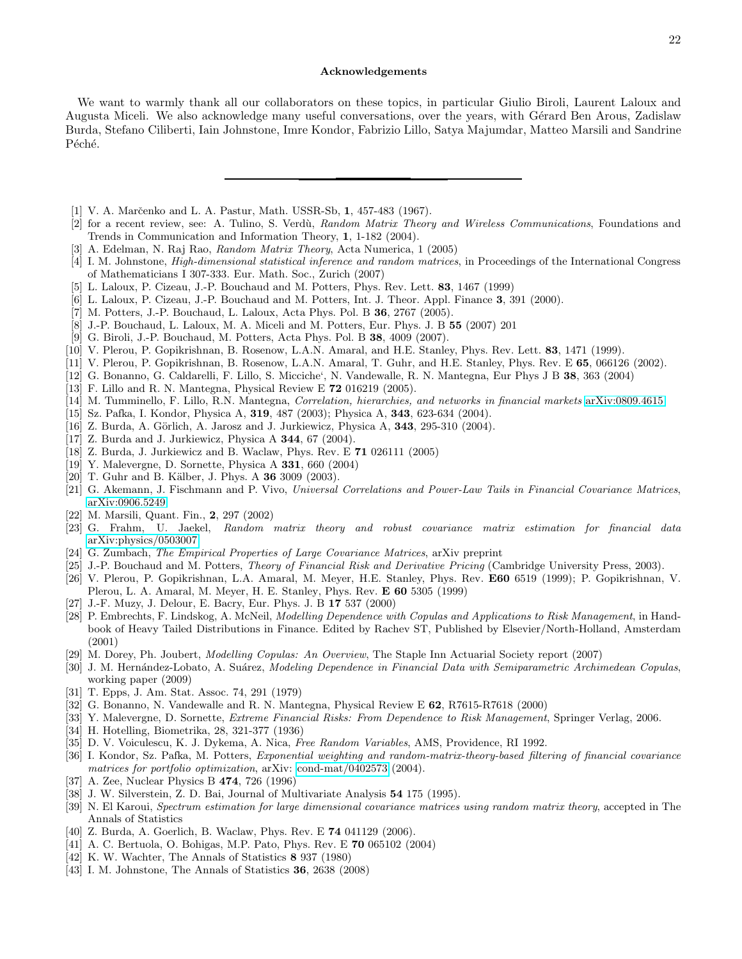## Acknowledgements

We want to warmly thank all our collaborators on these topics, in particular Giulio Biroli, Laurent Laloux and Augusta Miceli. We also acknowledge many useful conversations, over the years, with Gérard Ben Arous, Zadislaw Burda, Stefano Ciliberti, Iain Johnstone, Imre Kondor, Fabrizio Lillo, Satya Majumdar, Matteo Marsili and Sandrine Péché.

- <span id="page-21-0"></span>[1] V. A. Marčenko and L. A. Pastur, Math. USSR-Sb, 1, 457-483 (1967).
- <span id="page-21-1"></span>[2] for a recent review, see: A. Tulino, S. Verd`u, *Random Matrix Theory and Wireless Communications*, Foundations and Trends in Communication and Information Theory, 1, 1-182 (2004).
- <span id="page-21-2"></span>[3] A. Edelman, N. Raj Rao, *Random Matrix Theory*, Acta Numerica, 1 (2005)
- <span id="page-21-3"></span>[4] I. M. Johnstone, *High-dimensional statistical inference and random matrices*, in Proceedings of the International Congress of Mathematicians I 307-333. Eur. Math. Soc., Zurich (2007)
- <span id="page-21-4"></span>[5] L. Laloux, P. Cizeau, J.-P. Bouchaud and M. Potters, Phys. Rev. Lett. 83, 1467 (1999)
- <span id="page-21-5"></span>[6] L. Laloux, P. Cizeau, J.-P. Bouchaud and M. Potters, Int. J. Theor. Appl. Finance 3, 391 (2000).
- <span id="page-21-6"></span>[7] M. Potters, J.-P. Bouchaud, L. Laloux, Acta Phys. Pol. B 36, 2767 (2005).
- <span id="page-21-7"></span>[8] J.-P. Bouchaud, L. Laloux, M. A. Miceli and M. Potters, Eur. Phys. J. B 55 (2007) 201
- <span id="page-21-8"></span>[9] G. Biroli, J.-P. Bouchaud, M. Potters, Acta Phys. Pol. B 38, 4009 (2007).
- <span id="page-21-9"></span>[10] V. Plerou, P. Gopikrishnan, B. Rosenow, L.A.N. Amaral, and H.E. Stanley, Phys. Rev. Lett. 83, 1471 (1999).
- <span id="page-21-10"></span>[11] V. Plerou, P. Gopikrishnan, B. Rosenow, L.A.N. Amaral, T. Guhr, and H.E. Stanley, Phys. Rev. E 65, 066126 (2002).
- <span id="page-21-11"></span>[12] G. Bonanno, G. Caldarelli, F. Lillo, S. Micciche', N. Vandewalle, R. N. Mantegna, Eur Phys J B 38, 363 (2004)
- <span id="page-21-12"></span>[13] F. Lillo and R. N. Mantegna, Physical Review E  $72$  016219 (2005).
- <span id="page-21-13"></span>[14] M. Tumminello, F. Lillo, R.N. Mantegna, *Correlation, hierarchies, and networks in financial markets* [arXiv:0809.4615](http://lanl.arxiv.org/abs/0809.4615)
- <span id="page-21-14"></span>[15] Sz. Pafka, I. Kondor, Physica A, 319, 487 (2003); Physica A, 343, 623-634 (2004).
- <span id="page-21-15"></span>[16] Z. Burda, A. Görlich, A. Jarosz and J. Jurkiewicz, Physica A,  $343$ ,  $295-310$  (2004).
- <span id="page-21-16"></span>[17] Z. Burda and J. Jurkiewicz, Physica A 344, 67 (2004).
- <span id="page-21-17"></span>[18] Z. Burda, J. Jurkiewicz and B. Waclaw, Phys. Rev. E 71 026111 (2005)
- <span id="page-21-18"></span>[19] Y. Malevergne, D. Sornette, Physica A 331, 660 (2004)
- <span id="page-21-19"></span>[20] T. Guhr and B. Kälber, J. Phys. A 36 3009 (2003).
- <span id="page-21-20"></span>[21] G. Akemann, J. Fischmann and P. Vivo, *Universal Correlations and Power-Law Tails in Financial Covariance Matrices*, [arXiv:0906.5249](http://lanl.arxiv.org/abs/0906.5249)
- <span id="page-21-21"></span>[22] M. Marsili, Quant. Fin., 2, 297 (2002)
- <span id="page-21-22"></span>[23] G. Frahm, U. Jaekel, *Random matrix theory and robust covariance matrix estimation for financial data* [arXiv:physics/0503007](http://lanl.arxiv.org/abs/physics/0503007)
- <span id="page-21-23"></span>[24] G. Zumbach, *The Empirical Properties of Large Covariance Matrices*, arXiv preprint
- <span id="page-21-24"></span>[25] J.-P. Bouchaud and M. Potters, *Theory of Financial Risk and Derivative Pricing* (Cambridge University Press, 2003).
- <span id="page-21-25"></span>[26] V. Plerou, P. Gopikrishnan, L.A. Amaral, M. Meyer, H.E. Stanley, Phys. Rev. E60 6519 (1999); P. Gopikrishnan, V. Plerou, L. A. Amaral, M. Meyer, H. E. Stanley, Phys. Rev. E 60 5305 (1999)
- <span id="page-21-26"></span>[27] J.-F. Muzy, J. Delour, E. Bacry, Eur. Phys. J. B 17 537 (2000)
- <span id="page-21-27"></span>[28] P. Embrechts, F. Lindskog, A. McNeil, *Modelling Dependence with Copulas and Applications to Risk Management*, in Handbook of Heavy Tailed Distributions in Finance. Edited by Rachev ST, Published by Elsevier/North-Holland, Amsterdam (2001)
- <span id="page-21-28"></span>[29] M. Dorey, Ph. Joubert, *Modelling Copulas: An Overview*, The Staple Inn Actuarial Society report (2007)
- <span id="page-21-29"></span>[30] J. M. Hern´andez-Lobato, A. Su´arez, *Modeling Dependence in Financial Data with Semiparametric Archimedean Copulas*, working paper (2009)
- <span id="page-21-31"></span>[31] T. Epps, J. Am. Stat. Assoc. 74, 291 (1979)
- <span id="page-21-32"></span>[32] G. Bonanno, N. Vandewalle and R. N. Mantegna, Physical Review E 62, R7615-R7618 (2000)
- <span id="page-21-30"></span>[33] Y. Malevergne, D. Sornette, *Extreme Financial Risks: From Dependence to Risk Management*, Springer Verlag, 2006.
- <span id="page-21-34"></span>[34] H. Hotelling, Biometrika, 28, 321-377 (1936)
- <span id="page-21-35"></span>[35] D. V. Voiculescu, K. J. Dykema, A. Nica, *Free Random Variables*, AMS, Providence, RI 1992.
- <span id="page-21-36"></span>[36] I. Kondor, Sz. Pafka, M. Potters, *Exponential weighting and random-matrix-theory-based filtering of financial covariance matrices for portfolio optimization*, arXiv: [cond-mat/0402573](http://lanl.arxiv.org/abs/cond-mat/0402573) (2004).
- <span id="page-21-37"></span>[37] A. Zee, Nuclear Physics B 474, 726 (1996)
- <span id="page-21-38"></span>[38] J. W. Silverstein, Z. D. Bai, Journal of Multivariate Analysis 54 175 (1995).
- <span id="page-21-39"></span>[39] N. El Karoui, *Spectrum estimation for large dimensional covariance matrices using random matrix theory*, accepted in The Annals of Statistics
- <span id="page-21-40"></span>[40] Z. Burda, A. Goerlich, B. Waclaw, Phys. Rev. E 74 041129 (2006).
- <span id="page-21-41"></span>[41] A. C. Bertuola, O. Bohigas, M.P. Pato, Phys. Rev. E 70 065102 (2004)
- <span id="page-21-42"></span>[42] K. W. Wachter, The Annals of Statistics 8 937 (1980)
- <span id="page-21-33"></span>[43] I. M. Johnstone, The Annals of Statistics 36, 2638 (2008)